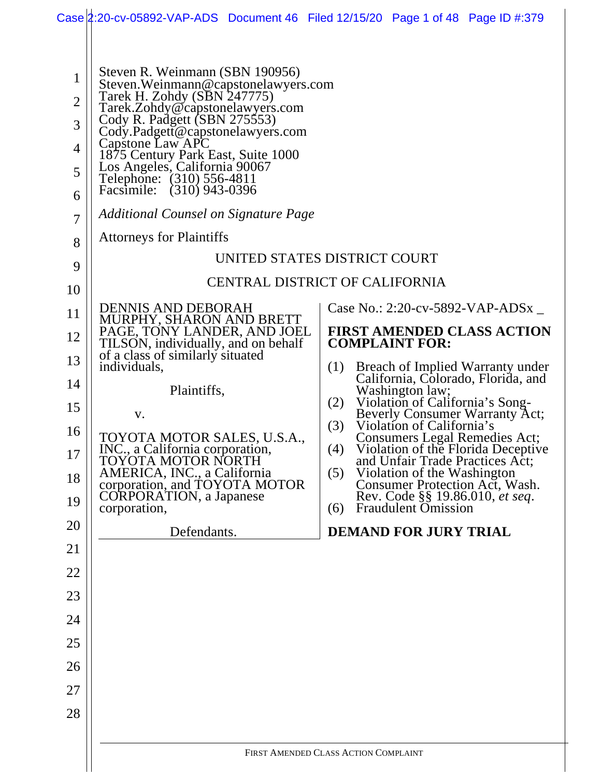|                                                                                                                                                  | Case 2:20-cv-05892-VAP-ADS Document 46 Filed 12/15/20 Page 1 of 48 Page ID #:379                                                                                                                                                                                                                                                                                                                                                                                                                                                                                                                                                                                                                                                                                                                                                                                                |                                                                                                                                                                                                                                                                                                                                                                                                                                                                                                                                                                                                                                                                                                               |  |  |  |
|--------------------------------------------------------------------------------------------------------------------------------------------------|---------------------------------------------------------------------------------------------------------------------------------------------------------------------------------------------------------------------------------------------------------------------------------------------------------------------------------------------------------------------------------------------------------------------------------------------------------------------------------------------------------------------------------------------------------------------------------------------------------------------------------------------------------------------------------------------------------------------------------------------------------------------------------------------------------------------------------------------------------------------------------|---------------------------------------------------------------------------------------------------------------------------------------------------------------------------------------------------------------------------------------------------------------------------------------------------------------------------------------------------------------------------------------------------------------------------------------------------------------------------------------------------------------------------------------------------------------------------------------------------------------------------------------------------------------------------------------------------------------|--|--|--|
| $\mathbf{1}$<br>$\overline{2}$<br>3<br>4<br>5<br>6<br>$\overline{7}$<br>8<br>9<br>10<br>11<br>12<br>13<br>14<br>15<br>16<br>17<br>18<br>19<br>20 | Steven R. Weinmann (SBN 190956)<br>Steven. Weinmann@capstonelawyers.com<br>Tarek H. Zohdy (SBN 247775)<br>Tarek.Zohdy@capstonelawyers.com<br>Cody R. Padgett (SBN 275553)<br>Cody.Padgett@capstonelawyers.com<br>Capstone Law APC<br>1875 Century Park East, Suite 1000<br>Los Angeles, California 90067<br>Telephone: (310) 556-4811<br>Facsimile: (310) 943-0396<br>Additional Counsel on Signature Page<br><b>Attorneys for Plaintiffs</b><br><b>DENNIS AND DEBORAH</b><br>MURPHY, SHARON AND BRETT<br>PAGE, TONY LANDER, AND JOEL<br>TILSON, individually, and on behalf<br>of a class of similarly situated<br>individuals,<br>Plaintiffs,<br>V.<br>TOYOTA MOTOR SALES, U.S.A.,<br>INC., a California corporation,<br>TOYOTA MOTOR NORTH<br>AMERICA, INC., a California<br>corporation, and TOYOTA MOTOR<br><b>CORPORATION</b> , a Japanese<br>corporation,<br>Defendants. | UNITED STATES DISTRICT COURT<br>CENTRAL DISTRICT OF CALIFORNIA<br>Case No.: 2:20-cv-5892-VAP-ADSx $\overline{\phantom{a}}$<br><b>FIRST AMENDED CLASS ACTION</b><br><b>COMPLAINT FOR:</b><br>Breach of Implied Warranty under<br>(1)<br>California, Colorado, Florida, and<br>Washington law;<br>Violation of California's Song-<br>(2)<br>Beverly Consumer Warranty Act;<br>Violation of California's<br>(3)<br>Consumers Legal Remedies Act;<br>(4)<br>Violation of the Florida Deceptive<br>and Unfair Trade Practices Act;<br>Violation of the Washington<br>(5)<br>Consumer Protection Act, Wash.<br>Rev. Code §§ 19.86.010, et seq.<br><b>Fraudulent Omission</b><br>(6)<br><b>DEMAND FOR JURY TRIAL</b> |  |  |  |
| 21                                                                                                                                               |                                                                                                                                                                                                                                                                                                                                                                                                                                                                                                                                                                                                                                                                                                                                                                                                                                                                                 |                                                                                                                                                                                                                                                                                                                                                                                                                                                                                                                                                                                                                                                                                                               |  |  |  |
| 22                                                                                                                                               |                                                                                                                                                                                                                                                                                                                                                                                                                                                                                                                                                                                                                                                                                                                                                                                                                                                                                 |                                                                                                                                                                                                                                                                                                                                                                                                                                                                                                                                                                                                                                                                                                               |  |  |  |
| 23                                                                                                                                               |                                                                                                                                                                                                                                                                                                                                                                                                                                                                                                                                                                                                                                                                                                                                                                                                                                                                                 |                                                                                                                                                                                                                                                                                                                                                                                                                                                                                                                                                                                                                                                                                                               |  |  |  |
| 24                                                                                                                                               |                                                                                                                                                                                                                                                                                                                                                                                                                                                                                                                                                                                                                                                                                                                                                                                                                                                                                 |                                                                                                                                                                                                                                                                                                                                                                                                                                                                                                                                                                                                                                                                                                               |  |  |  |
| 25                                                                                                                                               |                                                                                                                                                                                                                                                                                                                                                                                                                                                                                                                                                                                                                                                                                                                                                                                                                                                                                 |                                                                                                                                                                                                                                                                                                                                                                                                                                                                                                                                                                                                                                                                                                               |  |  |  |
| 26                                                                                                                                               |                                                                                                                                                                                                                                                                                                                                                                                                                                                                                                                                                                                                                                                                                                                                                                                                                                                                                 |                                                                                                                                                                                                                                                                                                                                                                                                                                                                                                                                                                                                                                                                                                               |  |  |  |
| 27                                                                                                                                               |                                                                                                                                                                                                                                                                                                                                                                                                                                                                                                                                                                                                                                                                                                                                                                                                                                                                                 |                                                                                                                                                                                                                                                                                                                                                                                                                                                                                                                                                                                                                                                                                                               |  |  |  |
| 28                                                                                                                                               |                                                                                                                                                                                                                                                                                                                                                                                                                                                                                                                                                                                                                                                                                                                                                                                                                                                                                 |                                                                                                                                                                                                                                                                                                                                                                                                                                                                                                                                                                                                                                                                                                               |  |  |  |
|                                                                                                                                                  |                                                                                                                                                                                                                                                                                                                                                                                                                                                                                                                                                                                                                                                                                                                                                                                                                                                                                 |                                                                                                                                                                                                                                                                                                                                                                                                                                                                                                                                                                                                                                                                                                               |  |  |  |
|                                                                                                                                                  | FIRST AMENDED CLASS ACTION COMPLAINT                                                                                                                                                                                                                                                                                                                                                                                                                                                                                                                                                                                                                                                                                                                                                                                                                                            |                                                                                                                                                                                                                                                                                                                                                                                                                                                                                                                                                                                                                                                                                                               |  |  |  |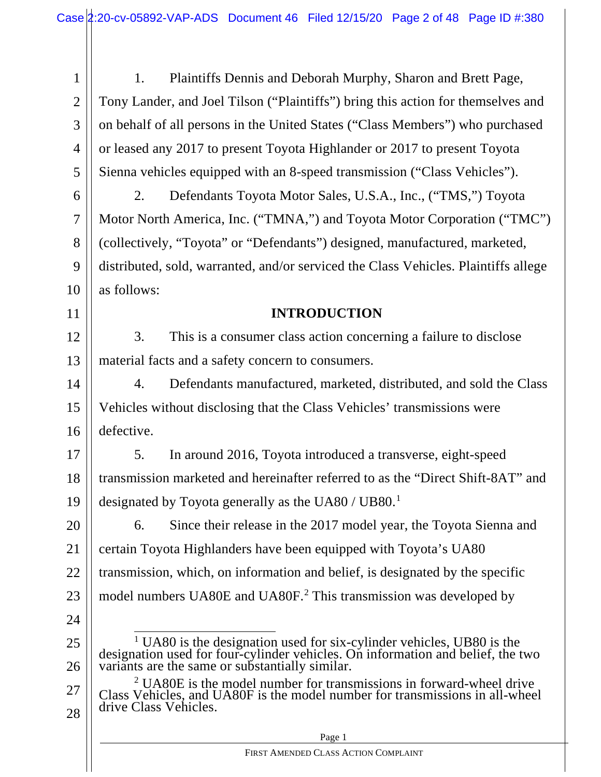1 2 3 4 5 1. Plaintiffs Dennis and Deborah Murphy, Sharon and Brett Page, Tony Lander, and Joel Tilson ("Plaintiffs") bring this action for themselves and on behalf of all persons in the United States ("Class Members") who purchased or leased any 2017 to present Toyota Highlander or 2017 to present Toyota Sienna vehicles equipped with an 8-speed transmission ("Class Vehicles").

6 7 8 9 10 2. Defendants Toyota Motor Sales, U.S.A., Inc., ("TMS,") Toyota Motor North America, Inc. ("TMNA,") and Toyota Motor Corporation ("TMC") (collectively, "Toyota" or "Defendants") designed, manufactured, marketed, distributed, sold, warranted, and/or serviced the Class Vehicles. Plaintiffs allege as follows:

### **INTRODUCTION**

12 13 3. This is a consumer class action concerning a failure to disclose material facts and a safety concern to consumers.

14 15 16 4. Defendants manufactured, marketed, distributed, and sold the Class Vehicles without disclosing that the Class Vehicles' transmissions were defective.

17 18 19 5. In around 2016, Toyota introduced a transverse, eight-speed transmission marketed and hereinafter referred to as the "Direct Shift-8AT" and designated by Toyota generally as the UA80 / UB80.<sup>1</sup>

20 21 22 23 6. Since their release in the 2017 model year, the Toyota Sienna and certain Toyota Highlanders have been equipped with Toyota's UA80 transmission, which, on information and belief, is designated by the specific model numbers UA80E and UA80F. <sup>2</sup> This transmission was developed by

24 25

11

26 <sup>1</sup> UA80 is the designation used for six-cylinder vehicles, UB80 is the designation used for four-cylinder vehicles. On information and belief, the two variants are the same or substantially similar.

27 28  $2 \text{UA80E}$  is the model number for transmissions in forward-wheel drive Class Vehicles, and UA80F is the model number for transmissions in all-wheel drive Class Vehicles.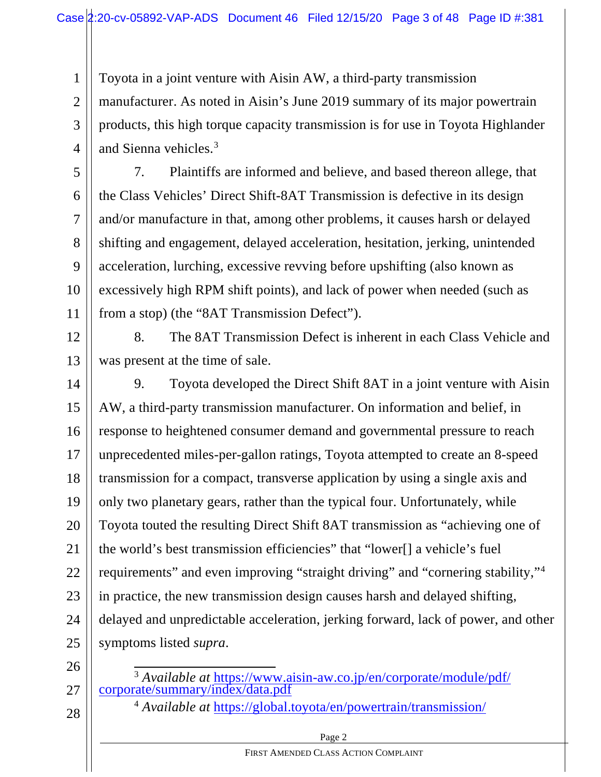Toyota in a joint venture with Aisin AW, a third-party transmission

2 3 4 manufacturer. As noted in Aisin's June 2019 summary of its major powertrain products, this high torque capacity transmission is for use in Toyota Highlander and Sienna vehicles.3

5 6 7 8 9 10 11 7. Plaintiffs are informed and believe, and based thereon allege, that the Class Vehicles' Direct Shift-8AT Transmission is defective in its design and/or manufacture in that, among other problems, it causes harsh or delayed shifting and engagement, delayed acceleration, hesitation, jerking, unintended acceleration, lurching, excessive revving before upshifting (also known as excessively high RPM shift points), and lack of power when needed (such as from a stop) (the "8AT Transmission Defect").

12 13 8. The 8AT Transmission Defect is inherent in each Class Vehicle and was present at the time of sale.

14 15 16 17 18 19 20 21 22 23 24 25 9. Toyota developed the Direct Shift 8AT in a joint venture with Aisin AW, a third-party transmission manufacturer. On information and belief, in response to heightened consumer demand and governmental pressure to reach unprecedented miles-per-gallon ratings, Toyota attempted to create an 8-speed transmission for a compact, transverse application by using a single axis and only two planetary gears, rather than the typical four. Unfortunately, while Toyota touted the resulting Direct Shift 8AT transmission as "achieving one of the world's best transmission efficiencies" that "lower[] a vehicle's fuel requirements" and even improving "straight driving" and "cornering stability,"4 in practice, the new transmission design causes harsh and delayed shifting, delayed and unpredictable acceleration, jerking forward, lack of power, and other symptoms listed *supra*.

26

1

<sup>3</sup> *Available at* https://www.aisin-aw.co.jp/en/corporate/module/pdf/ corporate/summary/index/data.pdf

28

27

<sup>4</sup> *Available at* https://global.toyota/en/powertrain/transmission/

Page 2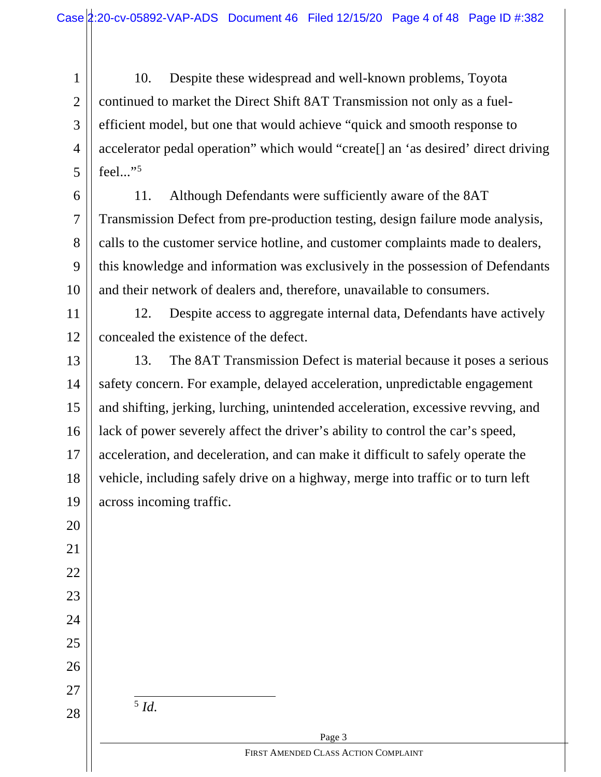1 2 3 4 5 10. Despite these widespread and well-known problems, Toyota continued to market the Direct Shift 8AT Transmission not only as a fuelefficient model, but one that would achieve "quick and smooth response to accelerator pedal operation" which would "create[] an 'as desired' direct driving feel..."<sup>5</sup>

6 7 8 9 10 11. Although Defendants were sufficiently aware of the 8AT Transmission Defect from pre-production testing, design failure mode analysis, calls to the customer service hotline, and customer complaints made to dealers, this knowledge and information was exclusively in the possession of Defendants and their network of dealers and, therefore, unavailable to consumers.

11 12 12. Despite access to aggregate internal data, Defendants have actively concealed the existence of the defect.

13 14 15 16 17 18 19 13. The 8AT Transmission Defect is material because it poses a serious safety concern. For example, delayed acceleration, unpredictable engagement and shifting, jerking, lurching, unintended acceleration, excessive revving, and lack of power severely affect the driver's ability to control the car's speed, acceleration, and deceleration, and can make it difficult to safely operate the vehicle, including safely drive on a highway, merge into traffic or to turn left across incoming traffic.

28

<sup>5</sup> *Id.*

20

21

22

23

24

25

26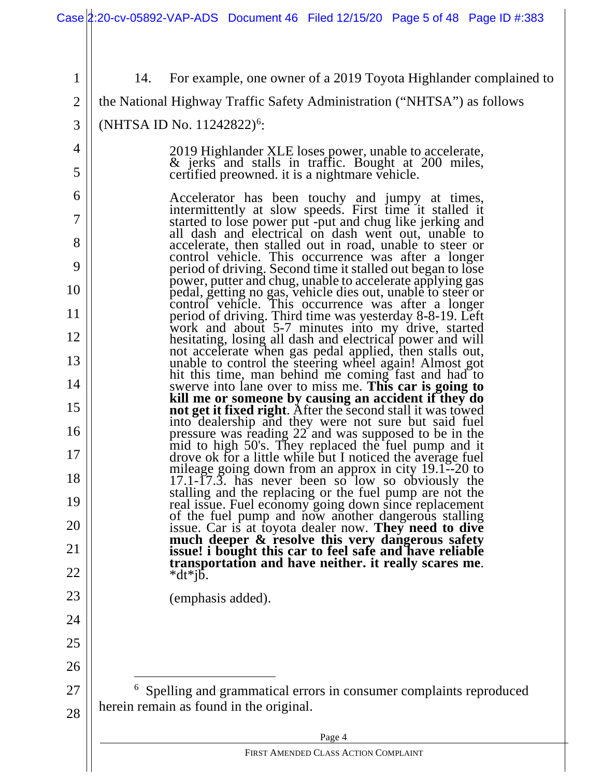|                | Case 2:20-cv-05892-VAP-ADS Document 46 Filed 12/15/20 Page 5 of 48 Page ID #:383                                                                                                                                              |  |  |  |  |  |  |
|----------------|-------------------------------------------------------------------------------------------------------------------------------------------------------------------------------------------------------------------------------|--|--|--|--|--|--|
|                |                                                                                                                                                                                                                               |  |  |  |  |  |  |
| 1              | For example, one owner of a 2019 Toyota Highlander complained to<br>14.                                                                                                                                                       |  |  |  |  |  |  |
| $\overline{2}$ | the National Highway Traffic Safety Administration ("NHTSA") as follows                                                                                                                                                       |  |  |  |  |  |  |
| 3              | (NHTSA ID No. 11242822) <sup>6</sup> :                                                                                                                                                                                        |  |  |  |  |  |  |
| 4              | 2019 Highlander XLE loses power, unable to accelerate,                                                                                                                                                                        |  |  |  |  |  |  |
| 5              | & jerks and stalls in traffic. Bought at 200 miles,<br>certified preowned. it is a nightmare vehicle.                                                                                                                         |  |  |  |  |  |  |
| 6              | Accelerator has been touchy and jumpy at times, intermittently at slow speeds. First time it stalled it                                                                                                                       |  |  |  |  |  |  |
| 7              | started to lose power put-put and chug like jerking and<br>all dash and electrical on dash went out, unable to                                                                                                                |  |  |  |  |  |  |
| 8              | accelerate, then stalled out in road, unable to steer or<br>control vehicle. This occurrence was after a longer                                                                                                               |  |  |  |  |  |  |
| 9              | period of driving. Second time it stalled out began to lose<br>power, putter and chug, unable to accelerate applying gas                                                                                                      |  |  |  |  |  |  |
| 10             | pedal, getting no gas, vehicle dies out, unable to steer or<br>control vehicle. This occurrence was after a longer                                                                                                            |  |  |  |  |  |  |
| 11             | period of driving. Third time was yesterday 8-8-19. Left<br>work and about 5-7 minutes into my drive, started                                                                                                                 |  |  |  |  |  |  |
| 12             | hesitating, losing all dash and electrical power and will<br>not accelerate when gas pedal applied, then stalls out,                                                                                                          |  |  |  |  |  |  |
| 13             | unable to control the steering wheel again! Almost got                                                                                                                                                                        |  |  |  |  |  |  |
| 14             | hit this time, man behind me coming fast and had to<br>swerve into lane over to miss me. This car is going to                                                                                                                 |  |  |  |  |  |  |
| 15             | kill me or someone by causing an accident if they do<br>not get it fixed right. After the second stall it was towed<br>into dealership and they were not sure but said fuel                                                   |  |  |  |  |  |  |
| 16             | pressure was reading 22 and was supposed to be in the<br>mid to high 50's. They replaced the fuel pump and it                                                                                                                 |  |  |  |  |  |  |
| 17             | drove ok for a little while but I noticed the average fuel                                                                                                                                                                    |  |  |  |  |  |  |
| 18             | mileage going down from an approx in city 19.1--20 to<br>17.1-17.3. has never been so low so obviously the<br>stalling and the replacing or the fuel pump are not the                                                         |  |  |  |  |  |  |
| 19             | real issue. Fuel economy going down since replacement<br>of the fuel pump and now another dangerous stalling                                                                                                                  |  |  |  |  |  |  |
| 20             |                                                                                                                                                                                                                               |  |  |  |  |  |  |
| 21             | issue. Car is at toyota dealer now. They need to dive<br>much deeper & resolve this very dangerous safety<br>issue! i bought this car to feel safe and have reliable<br>transportation and have neither. it really scares me. |  |  |  |  |  |  |
| 22             | $*dt*$ jb.                                                                                                                                                                                                                    |  |  |  |  |  |  |
| 23             | (emphasis added).                                                                                                                                                                                                             |  |  |  |  |  |  |
| 24             |                                                                                                                                                                                                                               |  |  |  |  |  |  |
| 25             |                                                                                                                                                                                                                               |  |  |  |  |  |  |
| 26             |                                                                                                                                                                                                                               |  |  |  |  |  |  |
| 27             | <sup>6</sup> Spelling and grammatical errors in consumer complaints reproduced<br>herein remain as found in the original.                                                                                                     |  |  |  |  |  |  |
| 28             |                                                                                                                                                                                                                               |  |  |  |  |  |  |
|                | Page 4<br>FIRST AMENDED CLASS ACTION COMPLAINT                                                                                                                                                                                |  |  |  |  |  |  |
|                |                                                                                                                                                                                                                               |  |  |  |  |  |  |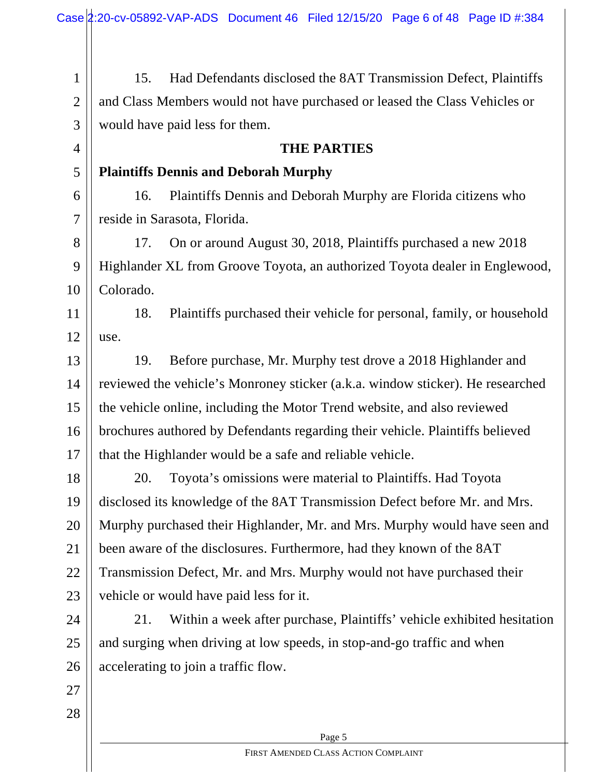Page 5 1 2 3 4 5 6 7 8 9 10 11 12 13 14 15 16 17 18 19 20 21 22 23 24 25 26 27 28 15. Had Defendants disclosed the 8AT Transmission Defect, Plaintiffs and Class Members would not have purchased or leased the Class Vehicles or would have paid less for them. **THE PARTIES Plaintiffs Dennis and Deborah Murphy** 16. Plaintiffs Dennis and Deborah Murphy are Florida citizens who reside in Sarasota, Florida. 17. On or around August 30, 2018, Plaintiffs purchased a new 2018 Highlander XL from Groove Toyota, an authorized Toyota dealer in Englewood, Colorado. 18. Plaintiffs purchased their vehicle for personal, family, or household use. 19. Before purchase, Mr. Murphy test drove a 2018 Highlander and reviewed the vehicle's Monroney sticker (a.k.a. window sticker). He researched the vehicle online, including the Motor Trend website, and also reviewed brochures authored by Defendants regarding their vehicle. Plaintiffs believed that the Highlander would be a safe and reliable vehicle. 20. Toyota's omissions were material to Plaintiffs. Had Toyota disclosed its knowledge of the 8AT Transmission Defect before Mr. and Mrs. Murphy purchased their Highlander, Mr. and Mrs. Murphy would have seen and been aware of the disclosures. Furthermore, had they known of the 8AT Transmission Defect, Mr. and Mrs. Murphy would not have purchased their vehicle or would have paid less for it. 21. Within a week after purchase, Plaintiffs' vehicle exhibited hesitation and surging when driving at low speeds, in stop-and-go traffic and when accelerating to join a traffic flow.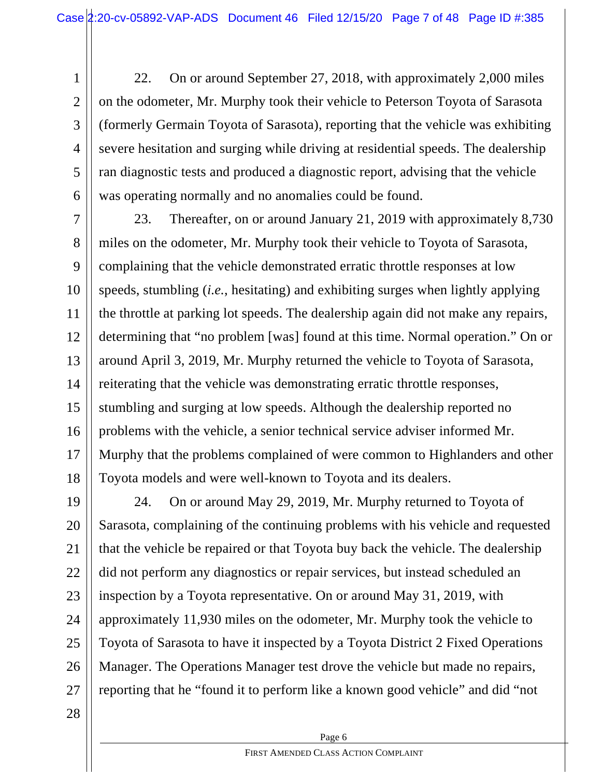1 2 3 4 5 6 22. On or around September 27, 2018, with approximately 2,000 miles on the odometer, Mr. Murphy took their vehicle to Peterson Toyota of Sarasota (formerly Germain Toyota of Sarasota), reporting that the vehicle was exhibiting severe hesitation and surging while driving at residential speeds. The dealership ran diagnostic tests and produced a diagnostic report, advising that the vehicle was operating normally and no anomalies could be found.

7 8 9 10 11 12 13 14 15 16 17 18 23. Thereafter, on or around January 21, 2019 with approximately 8,730 miles on the odometer, Mr. Murphy took their vehicle to Toyota of Sarasota, complaining that the vehicle demonstrated erratic throttle responses at low speeds, stumbling (*i.e.*, hesitating) and exhibiting surges when lightly applying the throttle at parking lot speeds. The dealership again did not make any repairs, determining that "no problem [was] found at this time. Normal operation." On or around April 3, 2019, Mr. Murphy returned the vehicle to Toyota of Sarasota, reiterating that the vehicle was demonstrating erratic throttle responses, stumbling and surging at low speeds. Although the dealership reported no problems with the vehicle, a senior technical service adviser informed Mr. Murphy that the problems complained of were common to Highlanders and other Toyota models and were well-known to Toyota and its dealers.

19 20 21 22 23 24 25 26 27 24. On or around May 29, 2019, Mr. Murphy returned to Toyota of Sarasota, complaining of the continuing problems with his vehicle and requested that the vehicle be repaired or that Toyota buy back the vehicle. The dealership did not perform any diagnostics or repair services, but instead scheduled an inspection by a Toyota representative. On or around May 31, 2019, with approximately 11,930 miles on the odometer, Mr. Murphy took the vehicle to Toyota of Sarasota to have it inspected by a Toyota District 2 Fixed Operations Manager. The Operations Manager test drove the vehicle but made no repairs, reporting that he "found it to perform like a known good vehicle" and did "not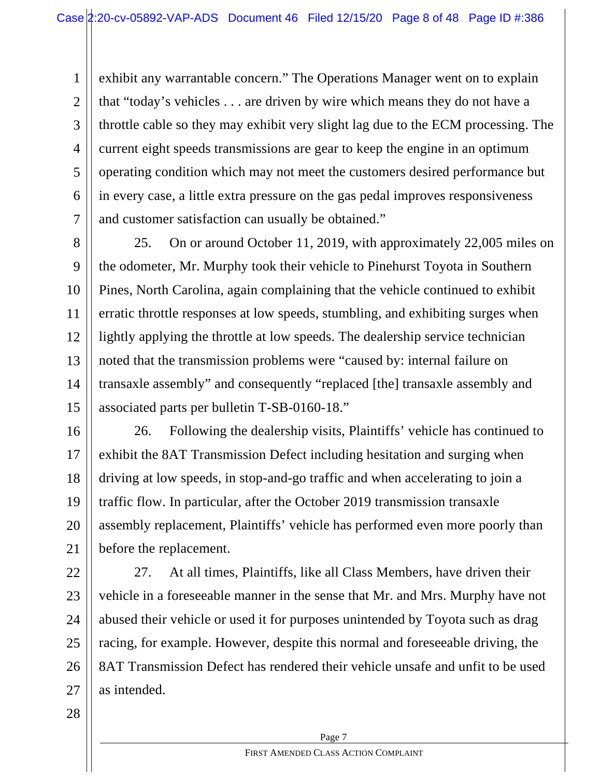1 2 3 4 5 6 7 exhibit any warrantable concern." The Operations Manager went on to explain that "today's vehicles . . . are driven by wire which means they do not have a throttle cable so they may exhibit very slight lag due to the ECM processing. The current eight speeds transmissions are gear to keep the engine in an optimum operating condition which may not meet the customers desired performance but in every case, a little extra pressure on the gas pedal improves responsiveness and customer satisfaction can usually be obtained."

8 9 10 11 12 13 14 15 25. On or around October 11, 2019, with approximately 22,005 miles on the odometer, Mr. Murphy took their vehicle to Pinehurst Toyota in Southern Pines, North Carolina, again complaining that the vehicle continued to exhibit erratic throttle responses at low speeds, stumbling, and exhibiting surges when lightly applying the throttle at low speeds. The dealership service technician noted that the transmission problems were "caused by: internal failure on transaxle assembly" and consequently "replaced [the] transaxle assembly and associated parts per bulletin T-SB-0160-18."

16 17 18 19 20 21 26. Following the dealership visits, Plaintiffs' vehicle has continued to exhibit the 8AT Transmission Defect including hesitation and surging when driving at low speeds, in stop-and-go traffic and when accelerating to join a traffic flow. In particular, after the October 2019 transmission transaxle assembly replacement, Plaintiffs' vehicle has performed even more poorly than before the replacement.

22 23 24 25 26 27 27. At all times, Plaintiffs, like all Class Members, have driven their vehicle in a foreseeable manner in the sense that Mr. and Mrs. Murphy have not abused their vehicle or used it for purposes unintended by Toyota such as drag racing, for example. However, despite this normal and foreseeable driving, the 8AT Transmission Defect has rendered their vehicle unsafe and unfit to be used as intended.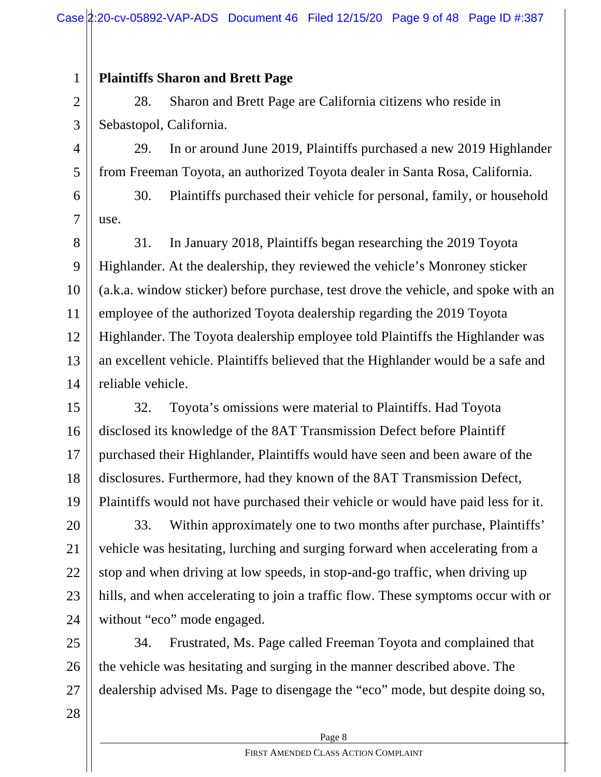### **Plaintiffs Sharon and Brett Page**

1

2 3 28. Sharon and Brett Page are California citizens who reside in Sebastopol, California.

4 5 29. In or around June 2019, Plaintiffs purchased a new 2019 Highlander from Freeman Toyota, an authorized Toyota dealer in Santa Rosa, California.

6 7 30. Plaintiffs purchased their vehicle for personal, family, or household use.

8 9 10 11 12 13 14 31. In January 2018, Plaintiffs began researching the 2019 Toyota Highlander. At the dealership, they reviewed the vehicle's Monroney sticker (a.k.a. window sticker) before purchase, test drove the vehicle, and spoke with an employee of the authorized Toyota dealership regarding the 2019 Toyota Highlander. The Toyota dealership employee told Plaintiffs the Highlander was an excellent vehicle. Plaintiffs believed that the Highlander would be a safe and reliable vehicle.

15 16 17 18 19 32. Toyota's omissions were material to Plaintiffs. Had Toyota disclosed its knowledge of the 8AT Transmission Defect before Plaintiff purchased their Highlander, Plaintiffs would have seen and been aware of the disclosures. Furthermore, had they known of the 8AT Transmission Defect, Plaintiffs would not have purchased their vehicle or would have paid less for it.

20 21 22 23 24 33. Within approximately one to two months after purchase, Plaintiffs' vehicle was hesitating, lurching and surging forward when accelerating from a stop and when driving at low speeds, in stop-and-go traffic, when driving up hills, and when accelerating to join a traffic flow. These symptoms occur with or without "eco" mode engaged.

25 26 27 34. Frustrated, Ms. Page called Freeman Toyota and complained that the vehicle was hesitating and surging in the manner described above. The dealership advised Ms. Page to disengage the "eco" mode, but despite doing so,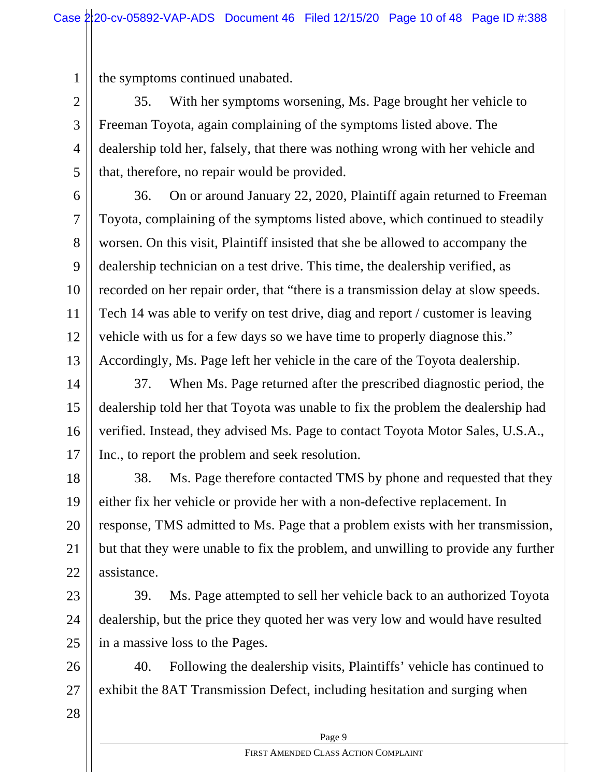1 the symptoms continued unabated.

2 3 4 5 35. With her symptoms worsening, Ms. Page brought her vehicle to Freeman Toyota, again complaining of the symptoms listed above. The dealership told her, falsely, that there was nothing wrong with her vehicle and that, therefore, no repair would be provided.

6 7 8 9 10 11 12 13 36. On or around January 22, 2020, Plaintiff again returned to Freeman Toyota, complaining of the symptoms listed above, which continued to steadily worsen. On this visit, Plaintiff insisted that she be allowed to accompany the dealership technician on a test drive. This time, the dealership verified, as recorded on her repair order, that "there is a transmission delay at slow speeds. Tech 14 was able to verify on test drive, diag and report / customer is leaving vehicle with us for a few days so we have time to properly diagnose this." Accordingly, Ms. Page left her vehicle in the care of the Toyota dealership.

14 15 16 17 37. When Ms. Page returned after the prescribed diagnostic period, the dealership told her that Toyota was unable to fix the problem the dealership had verified. Instead, they advised Ms. Page to contact Toyota Motor Sales, U.S.A., Inc., to report the problem and seek resolution.

18 19 20 21 22 38. Ms. Page therefore contacted TMS by phone and requested that they either fix her vehicle or provide her with a non-defective replacement. In response, TMS admitted to Ms. Page that a problem exists with her transmission, but that they were unable to fix the problem, and unwilling to provide any further assistance.

23 24 25 39. Ms. Page attempted to sell her vehicle back to an authorized Toyota dealership, but the price they quoted her was very low and would have resulted in a massive loss to the Pages.

26 27 40. Following the dealership visits, Plaintiffs' vehicle has continued to exhibit the 8AT Transmission Defect, including hesitation and surging when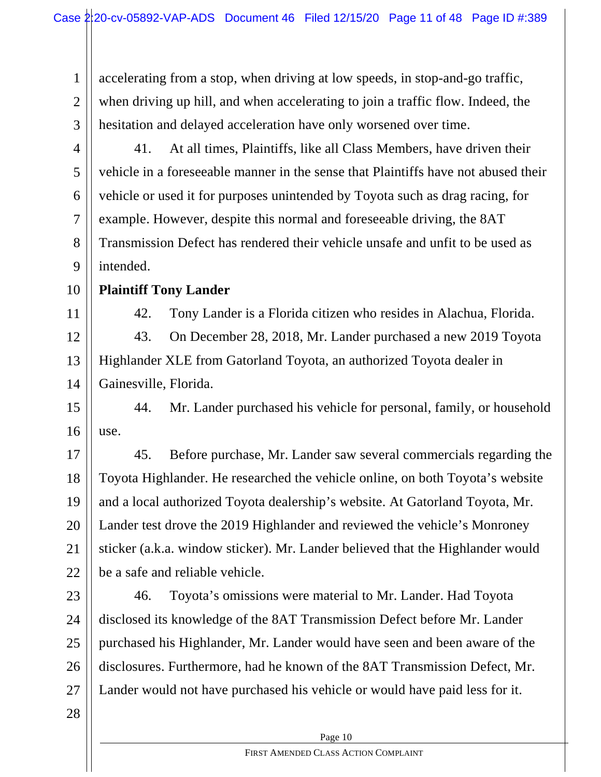1 2 3 accelerating from a stop, when driving at low speeds, in stop-and-go traffic, when driving up hill, and when accelerating to join a traffic flow. Indeed, the hesitation and delayed acceleration have only worsened over time.

- 4 5 6 7 8 9 41. At all times, Plaintiffs, like all Class Members, have driven their vehicle in a foreseeable manner in the sense that Plaintiffs have not abused their vehicle or used it for purposes unintended by Toyota such as drag racing, for example. However, despite this normal and foreseeable driving, the 8AT Transmission Defect has rendered their vehicle unsafe and unfit to be used as intended.
- 10

11

### **Plaintiff Tony Lander**

42. Tony Lander is a Florida citizen who resides in Alachua, Florida.

12 13 14 43. On December 28, 2018, Mr. Lander purchased a new 2019 Toyota Highlander XLE from Gatorland Toyota, an authorized Toyota dealer in Gainesville, Florida.

15 16 44. Mr. Lander purchased his vehicle for personal, family, or household use.

17 18 19 20 21 22 45. Before purchase, Mr. Lander saw several commercials regarding the Toyota Highlander. He researched the vehicle online, on both Toyota's website and a local authorized Toyota dealership's website. At Gatorland Toyota, Mr. Lander test drove the 2019 Highlander and reviewed the vehicle's Monroney sticker (a.k.a. window sticker). Mr. Lander believed that the Highlander would be a safe and reliable vehicle.

23 24 25 26 27 46. Toyota's omissions were material to Mr. Lander. Had Toyota disclosed its knowledge of the 8AT Transmission Defect before Mr. Lander purchased his Highlander, Mr. Lander would have seen and been aware of the disclosures. Furthermore, had he known of the 8AT Transmission Defect, Mr. Lander would not have purchased his vehicle or would have paid less for it.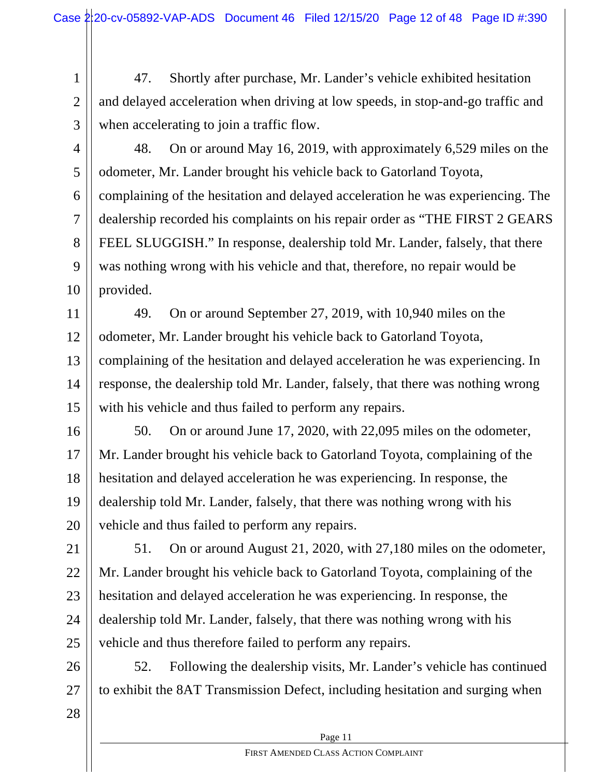1 2 3 47. Shortly after purchase, Mr. Lander's vehicle exhibited hesitation and delayed acceleration when driving at low speeds, in stop-and-go traffic and when accelerating to join a traffic flow.

4

5

6

7

8

9

10

48. On or around May 16, 2019, with approximately 6,529 miles on the odometer, Mr. Lander brought his vehicle back to Gatorland Toyota, complaining of the hesitation and delayed acceleration he was experiencing. The dealership recorded his complaints on his repair order as "THE FIRST 2 GEARS FEEL SLUGGISH." In response, dealership told Mr. Lander, falsely, that there was nothing wrong with his vehicle and that, therefore, no repair would be provided.

11 12 13 14 15 49. On or around September 27, 2019, with 10,940 miles on the odometer, Mr. Lander brought his vehicle back to Gatorland Toyota, complaining of the hesitation and delayed acceleration he was experiencing. In response, the dealership told Mr. Lander, falsely, that there was nothing wrong with his vehicle and thus failed to perform any repairs.

16 17 18 19 20 50. On or around June 17, 2020, with 22,095 miles on the odometer, Mr. Lander brought his vehicle back to Gatorland Toyota, complaining of the hesitation and delayed acceleration he was experiencing. In response, the dealership told Mr. Lander, falsely, that there was nothing wrong with his vehicle and thus failed to perform any repairs.

21 22 23 24 25 51. On or around August 21, 2020, with 27,180 miles on the odometer, Mr. Lander brought his vehicle back to Gatorland Toyota, complaining of the hesitation and delayed acceleration he was experiencing. In response, the dealership told Mr. Lander, falsely, that there was nothing wrong with his vehicle and thus therefore failed to perform any repairs.

26 27 52. Following the dealership visits, Mr. Lander's vehicle has continued to exhibit the 8AT Transmission Defect, including hesitation and surging when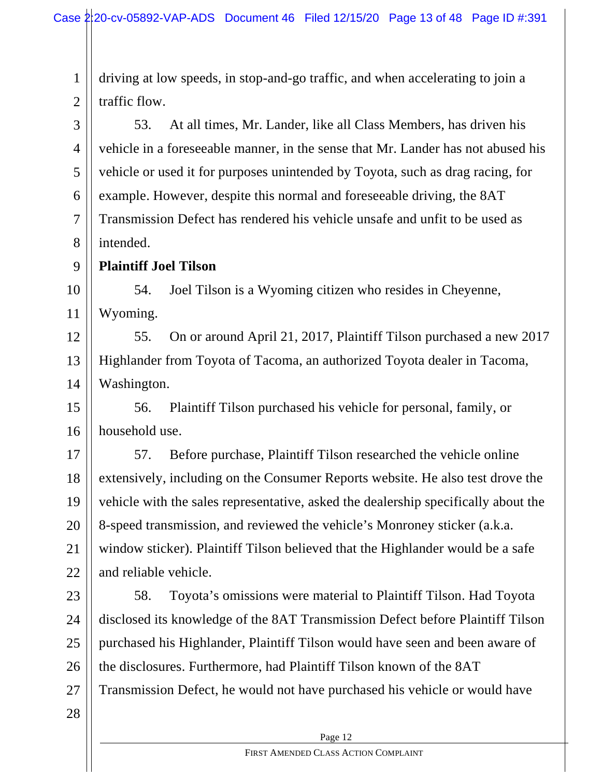1 2 driving at low speeds, in stop-and-go traffic, and when accelerating to join a traffic flow.

3 4 5 6 7 8 53. At all times, Mr. Lander, like all Class Members, has driven his vehicle in a foreseeable manner, in the sense that Mr. Lander has not abused his vehicle or used it for purposes unintended by Toyota, such as drag racing, for example. However, despite this normal and foreseeable driving, the 8AT Transmission Defect has rendered his vehicle unsafe and unfit to be used as intended.

9 **Plaintiff Joel Tilson**

10 11 54. Joel Tilson is a Wyoming citizen who resides in Cheyenne, Wyoming.

12 13 14 55. On or around April 21, 2017, Plaintiff Tilson purchased a new 2017 Highlander from Toyota of Tacoma, an authorized Toyota dealer in Tacoma, Washington.

15 16 56. Plaintiff Tilson purchased his vehicle for personal, family, or household use.

17 18 19 20 21 22 57. Before purchase, Plaintiff Tilson researched the vehicle online extensively, including on the Consumer Reports website. He also test drove the vehicle with the sales representative, asked the dealership specifically about the 8-speed transmission, and reviewed the vehicle's Monroney sticker (a.k.a. window sticker). Plaintiff Tilson believed that the Highlander would be a safe and reliable vehicle.

23 24 25 26 27 58. Toyota's omissions were material to Plaintiff Tilson. Had Toyota disclosed its knowledge of the 8AT Transmission Defect before Plaintiff Tilson purchased his Highlander, Plaintiff Tilson would have seen and been aware of the disclosures. Furthermore, had Plaintiff Tilson known of the 8AT Transmission Defect, he would not have purchased his vehicle or would have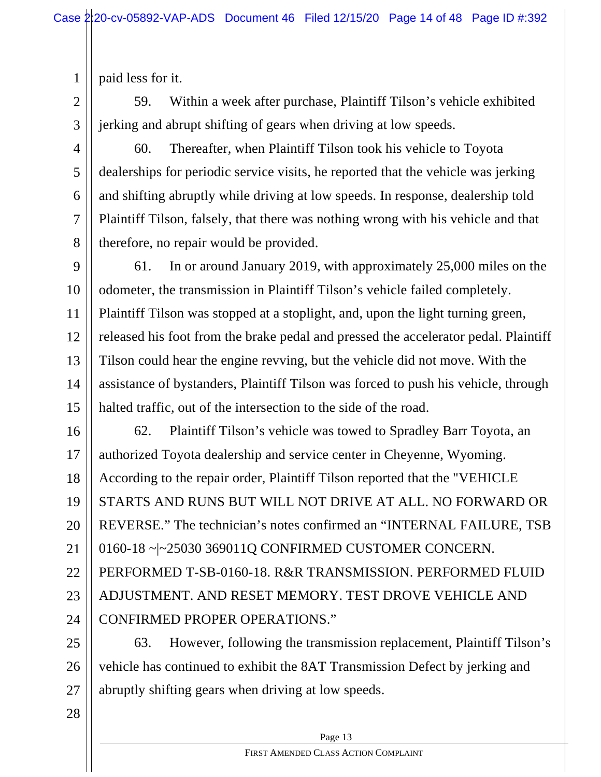paid less for it.

2

3

5

7

1

59. Within a week after purchase, Plaintiff Tilson's vehicle exhibited jerking and abrupt shifting of gears when driving at low speeds.

- 4 6 8 60. Thereafter, when Plaintiff Tilson took his vehicle to Toyota dealerships for periodic service visits, he reported that the vehicle was jerking and shifting abruptly while driving at low speeds. In response, dealership told Plaintiff Tilson, falsely, that there was nothing wrong with his vehicle and that therefore, no repair would be provided.
- 9 10 11 12 13 14 15 61. In or around January 2019, with approximately 25,000 miles on the odometer, the transmission in Plaintiff Tilson's vehicle failed completely. Plaintiff Tilson was stopped at a stoplight, and, upon the light turning green, released his foot from the brake pedal and pressed the accelerator pedal. Plaintiff Tilson could hear the engine revving, but the vehicle did not move. With the assistance of bystanders, Plaintiff Tilson was forced to push his vehicle, through halted traffic, out of the intersection to the side of the road.
- 16 17 18 19 20 21 22 23 24 62. Plaintiff Tilson's vehicle was towed to Spradley Barr Toyota, an authorized Toyota dealership and service center in Cheyenne, Wyoming. According to the repair order, Plaintiff Tilson reported that the "VEHICLE STARTS AND RUNS BUT WILL NOT DRIVE AT ALL. NO FORWARD OR REVERSE." The technician's notes confirmed an "INTERNAL FAILURE, TSB 0160-18 ~|~25030 369011Q CONFIRMED CUSTOMER CONCERN. PERFORMED T-SB-0160-18. R&R TRANSMISSION. PERFORMED FLUID ADJUSTMENT. AND RESET MEMORY. TEST DROVE VEHICLE AND CONFIRMED PROPER OPERATIONS."
- 25 26 27 63. However, following the transmission replacement, Plaintiff Tilson's vehicle has continued to exhibit the 8AT Transmission Defect by jerking and abruptly shifting gears when driving at low speeds.
- 28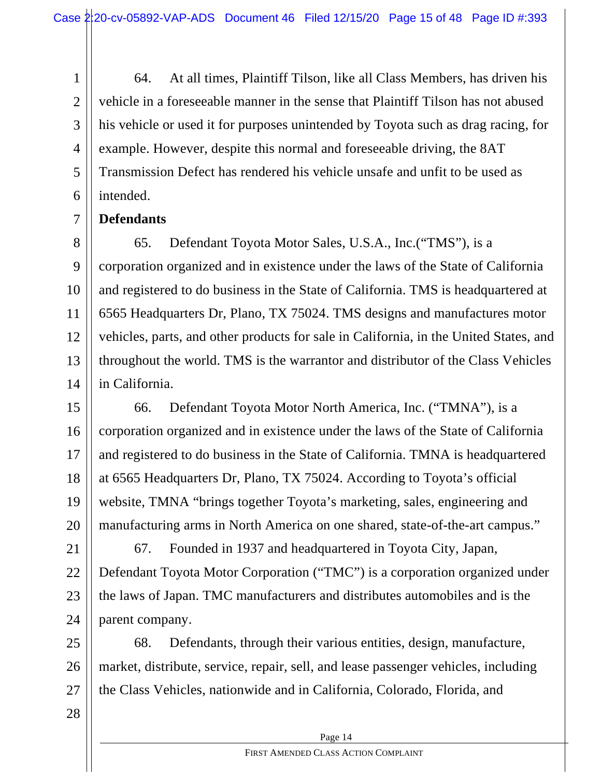1 2 3 4 5 6 64. At all times, Plaintiff Tilson, like all Class Members, has driven his vehicle in a foreseeable manner in the sense that Plaintiff Tilson has not abused his vehicle or used it for purposes unintended by Toyota such as drag racing, for example. However, despite this normal and foreseeable driving, the 8AT Transmission Defect has rendered his vehicle unsafe and unfit to be used as intended.

#### 7 **Defendants**

8 9 10 11 12 13 14 65. Defendant Toyota Motor Sales, U.S.A., Inc.("TMS"), is a corporation organized and in existence under the laws of the State of California and registered to do business in the State of California. TMS is headquartered at 6565 Headquarters Dr, Plano, TX 75024. TMS designs and manufactures motor vehicles, parts, and other products for sale in California, in the United States, and throughout the world. TMS is the warrantor and distributor of the Class Vehicles in California.

15 16 17 18 19 20 66. Defendant Toyota Motor North America, Inc. ("TMNA"), is a corporation organized and in existence under the laws of the State of California and registered to do business in the State of California. TMNA is headquartered at 6565 Headquarters Dr, Plano, TX 75024. According to Toyota's official website, TMNA "brings together Toyota's marketing, sales, engineering and manufacturing arms in North America on one shared, state-of-the-art campus."

21 22 23 24 67. Founded in 1937 and headquartered in Toyota City, Japan, Defendant Toyota Motor Corporation ("TMC") is a corporation organized under the laws of Japan. TMC manufacturers and distributes automobiles and is the parent company.

25 26 27 68. Defendants, through their various entities, design, manufacture, market, distribute, service, repair, sell, and lease passenger vehicles, including the Class Vehicles, nationwide and in California, Colorado, Florida, and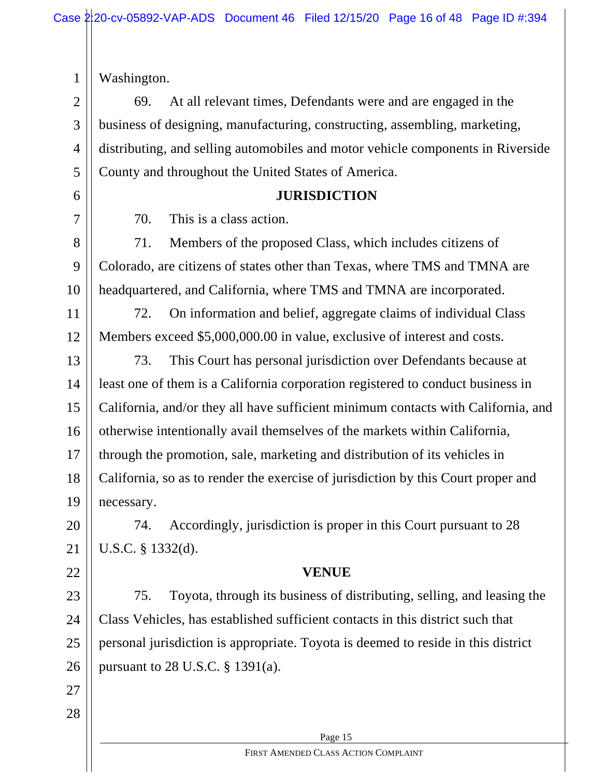Washington.

1

6

7

2 3 4 5 69. At all relevant times, Defendants were and are engaged in the business of designing, manufacturing, constructing, assembling, marketing, distributing, and selling automobiles and motor vehicle components in Riverside County and throughout the United States of America.

#### **JURISDICTION**

70. This is a class action.

8 9 10 71. Members of the proposed Class, which includes citizens of Colorado, are citizens of states other than Texas, where TMS and TMNA are headquartered, and California, where TMS and TMNA are incorporated.

11 12 72. On information and belief, aggregate claims of individual Class Members exceed \$5,000,000.00 in value, exclusive of interest and costs.

13 14 15 16 17 18 19 73. This Court has personal jurisdiction over Defendants because at least one of them is a California corporation registered to conduct business in California, and/or they all have sufficient minimum contacts with California, and otherwise intentionally avail themselves of the markets within California, through the promotion, sale, marketing and distribution of its vehicles in California, so as to render the exercise of jurisdiction by this Court proper and necessary.

20 21 74. Accordingly, jurisdiction is proper in this Court pursuant to 28 U.S.C. § 1332(d).

### **VENUE**

23 24 25 26 75. Toyota, through its business of distributing, selling, and leasing the Class Vehicles, has established sufficient contacts in this district such that personal jurisdiction is appropriate. Toyota is deemed to reside in this district pursuant to 28 U.S.C. § 1391(a).

27 28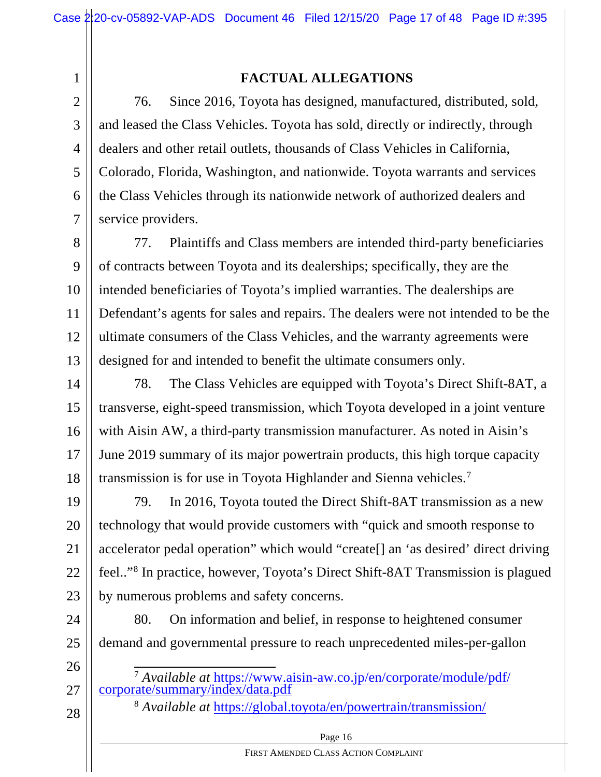1 2

3

5

7

### **FACTUAL ALLEGATIONS**

4 6 76. Since 2016, Toyota has designed, manufactured, distributed, sold, and leased the Class Vehicles. Toyota has sold, directly or indirectly, through dealers and other retail outlets, thousands of Class Vehicles in California, Colorado, Florida, Washington, and nationwide. Toyota warrants and services the Class Vehicles through its nationwide network of authorized dealers and service providers.

8 9 10 11 12 13 77. Plaintiffs and Class members are intended third-party beneficiaries of contracts between Toyota and its dealerships; specifically, they are the intended beneficiaries of Toyota's implied warranties. The dealerships are Defendant's agents for sales and repairs. The dealers were not intended to be the ultimate consumers of the Class Vehicles, and the warranty agreements were designed for and intended to benefit the ultimate consumers only.

14 15 16 17 18 78. The Class Vehicles are equipped with Toyota's Direct Shift-8AT, a transverse, eight-speed transmission, which Toyota developed in a joint venture with Aisin AW, a third-party transmission manufacturer. As noted in Aisin's June 2019 summary of its major powertrain products, this high torque capacity transmission is for use in Toyota Highlander and Sienna vehicles.7

19 20 21 22 23 79. In 2016, Toyota touted the Direct Shift-8AT transmission as a new technology that would provide customers with "quick and smooth response to accelerator pedal operation" which would "create[] an 'as desired' direct driving feel.."8 In practice, however, Toyota's Direct Shift-8AT Transmission is plagued by numerous problems and safety concerns.

24 25 80. On information and belief, in response to heightened consumer demand and governmental pressure to reach unprecedented miles-per-gallon

26

27

28

<sup>8</sup> *Available at* https://global.toyota/en/powertrain/transmission/

Page 16

<sup>7</sup> *Available at* https://www.aisin-aw.co.jp/en/corporate/module/pdf/ corporate/summary/index/data.pdf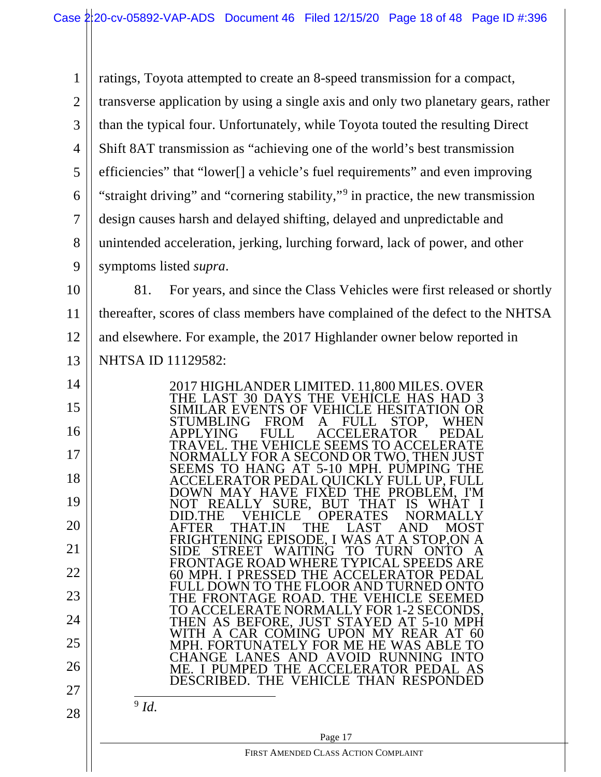1 2 3 4 5 6 7 8 9 ratings, Toyota attempted to create an 8-speed transmission for a compact, transverse application by using a single axis and only two planetary gears, rather than the typical four. Unfortunately, while Toyota touted the resulting Direct Shift 8AT transmission as "achieving one of the world's best transmission efficiencies" that "lower[] a vehicle's fuel requirements" and even improving "straight driving" and "cornering stability,"9 in practice, the new transmission design causes harsh and delayed shifting, delayed and unpredictable and unintended acceleration, jerking, lurching forward, lack of power, and other symptoms listed *supra*.

10 11 12 13 81. For years, and since the Class Vehicles were first released or shortly thereafter, scores of class members have complained of the defect to the NHTSA and elsewhere. For example, the 2017 Highlander owner below reported in NHTSA ID 11129582:

 Page 17 14 15 16 17 18 19 20 21 22 23 24 25 26 27 28 2017 HIGHLANDER LIMITED. 11,800 MILES. OVER THE LAST 30 DAYS THE VEHICLE HAS HAD 3 SIMILAR EVENTS OF VEHICLE HESITATION OR STUMBLING FROM A FULL STOP, WHEN<br>APPLYING FULL ACCELERATOR PEDAL **ACCELERATOR** TRAVEL. THE VEHICLE SEEMS TO ACCELERATE NORMALLY FOR A SECOND OR TWO, THEN JUST SEEMS TO HANG AT 5-10 MPH. PUMPING THE ACCELERATOR PEDAL QUICKLY FULL UP, FULL DOWN MAY HAVE FIXED THE PROBLEM, I'M NOT REALLY SURE, BUT THAT IS WHÁT I<br>DID.THE VEHICLE OPERATES NORMALLY DID.THE VEHICLE OPERATES NORMALLY<br>AFTER THAT.IN THE LAST AND MOST AFTER THAT.IN THE LAST AND MOST FRIGHTENING EPISODE, I WAS AT A STOP,ON A SIDE STREET WAITING TO TURN ONTO A FRONTAGE ROAD WHERE TYPICAL SPEEDS ARE 60 MPH. I PRESSED THE ACCELERATOR PEDAL FULL DOWN TO THE FLOOR AND TURNED ONTO THE FRONTAGE ROAD. THE VEHICLE SEEMED TO ACCELERATE NORMALLY FOR 1-2 SECONDS, THEN AS BEFORE, JUST STAYED AT 5-10 MPH WITH A CAR COMING UPON MY REAR AT 60 MPH. FORTUNATELY FOR ME HE WAS ABLE TO CHANGE LANES AND AVOID RUNNING INTO ME. I PUMPED THE ACCELERATOR PEDAL AS DESCRIBED. THE VEHICLE THAN RESPONDED  $\overline{\frac{9}{}}$ *Id.* 

FIRST AMENDED CLASS ACTION COMPLAINT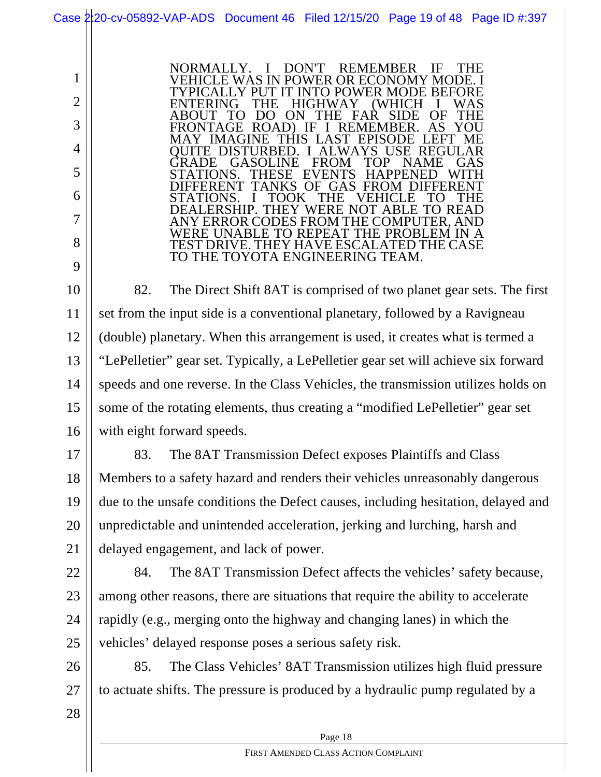1 2 3 4 5 6 7 8 9 10 11 12 13 14 15 16 17 18 19 20 21 22 23 24 25 26 27 28 NORMALLY. I DON'T REMEMBER IF THE VEHICLE WAS IN POWER OR ECONOMY MODE. I TYPICALLY PUT IT INTO POWER MODE BEFORE ENTERING ABOUT TO DO ON THE FAR SIDE OF THE FRONTAGE ROAD) IF I REMEMBER. AS YOU MAY IMAGINE THIS LAST EPISODE LEFT ME QUITE DISTURBED. I ALWAYS USE REGULAR GRADE GASOLINE FROM TOP NAME GAS STATIONS. THESE EVENTS HAPPENED WITH DIFFERENT TANKS OF GAS FROM DIFFERENT STATIONS. I TOOK THE VEHICLE TO THE DEALERSHIP. THEY WERE NOT ABLE TO READ ANY ERROR CODES FROM THE COMPUTER, AND WERE UNABLE TO REPEAT THE PROBLEM IN A TEST DRIVE. THEY HAVE ESCALATED THE CASE TO THE TOYOTA ENGINEERING TEAM. 82. The Direct Shift 8AT is comprised of two planet gear sets. The first set from the input side is a conventional planetary, followed by a Ravigneau (double) planetary. When this arrangement is used, it creates what is termed a "LePelletier" gear set. Typically, a LePelletier gear set will achieve six forward speeds and one reverse. In the Class Vehicles, the transmission utilizes holds on some of the rotating elements, thus creating a "modified LePelletier" gear set with eight forward speeds. 83. The 8AT Transmission Defect exposes Plaintiffs and Class Members to a safety hazard and renders their vehicles unreasonably dangerous due to the unsafe conditions the Defect causes, including hesitation, delayed and unpredictable and unintended acceleration, jerking and lurching, harsh and delayed engagement, and lack of power. 84. The 8AT Transmission Defect affects the vehicles' safety because, among other reasons, there are situations that require the ability to accelerate rapidly (e.g., merging onto the highway and changing lanes) in which the vehicles' delayed response poses a serious safety risk. 85. The Class Vehicles' 8AT Transmission utilizes high fluid pressure to actuate shifts. The pressure is produced by a hydraulic pump regulated by a Case 2:20-cv-05892-VAP-ADS Document 46 Filed 12/15/20 Page 19 of 48 Page ID #:397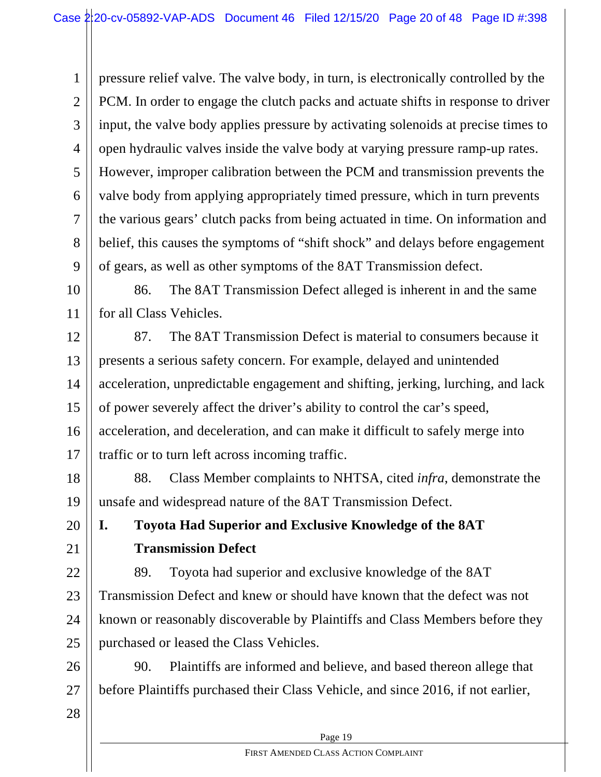1 2 3 4 5 6 7 8 9 pressure relief valve. The valve body, in turn, is electronically controlled by the PCM. In order to engage the clutch packs and actuate shifts in response to driver input, the valve body applies pressure by activating solenoids at precise times to open hydraulic valves inside the valve body at varying pressure ramp-up rates. However, improper calibration between the PCM and transmission prevents the valve body from applying appropriately timed pressure, which in turn prevents the various gears' clutch packs from being actuated in time. On information and belief, this causes the symptoms of "shift shock" and delays before engagement of gears, as well as other symptoms of the 8AT Transmission defect.

10 11 86. The 8AT Transmission Defect alleged is inherent in and the same for all Class Vehicles.

12 13 14 15 16 17 87. The 8AT Transmission Defect is material to consumers because it presents a serious safety concern. For example, delayed and unintended acceleration, unpredictable engagement and shifting, jerking, lurching, and lack of power severely affect the driver's ability to control the car's speed, acceleration, and deceleration, and can make it difficult to safely merge into traffic or to turn left across incoming traffic.

18 19 88. Class Member complaints to NHTSA, cited *infra*, demonstrate the unsafe and widespread nature of the 8AT Transmission Defect.

**I. Toyota Had Superior and Exclusive Knowledge of the 8AT Transmission Defect**

22 23 24 25 89. Toyota had superior and exclusive knowledge of the 8AT Transmission Defect and knew or should have known that the defect was not known or reasonably discoverable by Plaintiffs and Class Members before they purchased or leased the Class Vehicles.

26 27 90. Plaintiffs are informed and believe, and based thereon allege that before Plaintiffs purchased their Class Vehicle, and since 2016, if not earlier,

28

20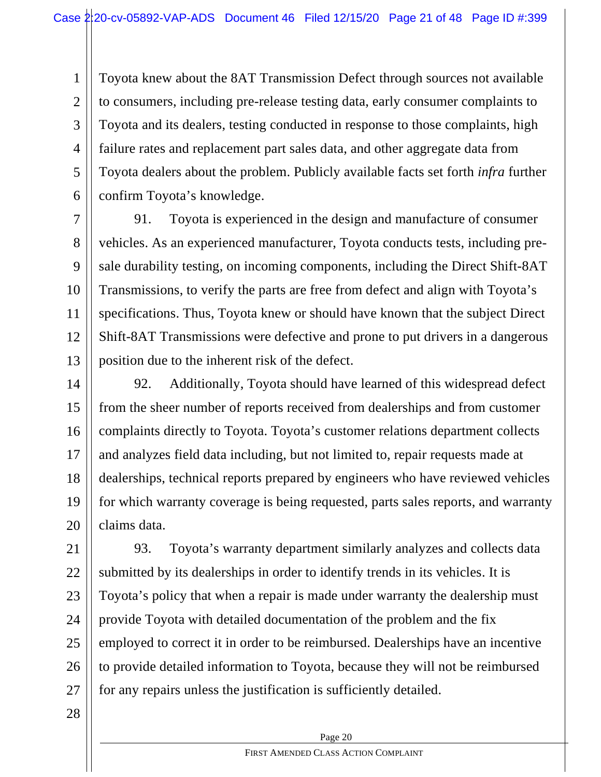1 2 3 4 5 6 Toyota knew about the 8AT Transmission Defect through sources not available to consumers, including pre-release testing data, early consumer complaints to Toyota and its dealers, testing conducted in response to those complaints, high failure rates and replacement part sales data, and other aggregate data from Toyota dealers about the problem. Publicly available facts set forth *infra* further confirm Toyota's knowledge.

7 8 9 10 11 12 13 91. Toyota is experienced in the design and manufacture of consumer vehicles. As an experienced manufacturer, Toyota conducts tests, including presale durability testing, on incoming components, including the Direct Shift-8AT Transmissions, to verify the parts are free from defect and align with Toyota's specifications. Thus, Toyota knew or should have known that the subject Direct Shift-8AT Transmissions were defective and prone to put drivers in a dangerous position due to the inherent risk of the defect.

14 15 16 17 18 19 20 92. Additionally, Toyota should have learned of this widespread defect from the sheer number of reports received from dealerships and from customer complaints directly to Toyota. Toyota's customer relations department collects and analyzes field data including, but not limited to, repair requests made at dealerships, technical reports prepared by engineers who have reviewed vehicles for which warranty coverage is being requested, parts sales reports, and warranty claims data.

21 22 23 24 25 26 27 93. Toyota's warranty department similarly analyzes and collects data submitted by its dealerships in order to identify trends in its vehicles. It is Toyota's policy that when a repair is made under warranty the dealership must provide Toyota with detailed documentation of the problem and the fix employed to correct it in order to be reimbursed. Dealerships have an incentive to provide detailed information to Toyota, because they will not be reimbursed for any repairs unless the justification is sufficiently detailed.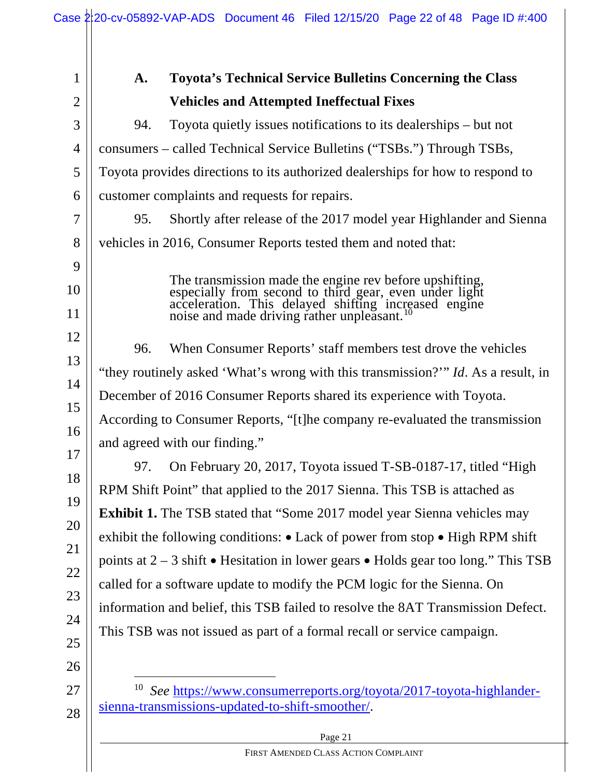|                | Case 2:20-cv-05892-VAP-ADS Document 46 Filed 12/15/20 Page 22 of 48 Page ID #:400                                                                                                                                           |  |  |  |  |
|----------------|-----------------------------------------------------------------------------------------------------------------------------------------------------------------------------------------------------------------------------|--|--|--|--|
|                |                                                                                                                                                                                                                             |  |  |  |  |
| 1              | <b>Toyota's Technical Service Bulletins Concerning the Class</b><br>A.                                                                                                                                                      |  |  |  |  |
| $\overline{2}$ | <b>Vehicles and Attempted Ineffectual Fixes</b>                                                                                                                                                                             |  |  |  |  |
| 3              | Toyota quietly issues notifications to its dealerships – but not<br>94.                                                                                                                                                     |  |  |  |  |
| $\overline{4}$ | consumers – called Technical Service Bulletins ("TSBs.") Through TSBs,                                                                                                                                                      |  |  |  |  |
| 5              | Toyota provides directions to its authorized dealerships for how to respond to                                                                                                                                              |  |  |  |  |
| 6              | customer complaints and requests for repairs.                                                                                                                                                                               |  |  |  |  |
| 7              | 95.<br>Shortly after release of the 2017 model year Highlander and Sienna                                                                                                                                                   |  |  |  |  |
| 8              | vehicles in 2016, Consumer Reports tested them and noted that:                                                                                                                                                              |  |  |  |  |
| 9              |                                                                                                                                                                                                                             |  |  |  |  |
| 10             | The transmission made the engine rev before upshifting, especially from second to third gear, even under light acceleration. This delayed shifting increased engine noise and made driving rather unpleasant. <sup>10</sup> |  |  |  |  |
| 11             |                                                                                                                                                                                                                             |  |  |  |  |
| 12             | 96.<br>When Consumer Reports' staff members test drove the vehicles                                                                                                                                                         |  |  |  |  |
| 13             |                                                                                                                                                                                                                             |  |  |  |  |
| 14             | "they routinely asked 'What's wrong with this transmission?"" Id. As a result, in                                                                                                                                           |  |  |  |  |
| 15             | December of 2016 Consumer Reports shared its experience with Toyota.                                                                                                                                                        |  |  |  |  |
| 16             | According to Consumer Reports, "[t]he company re-evaluated the transmission<br>and agreed with our finding."                                                                                                                |  |  |  |  |
| 17             |                                                                                                                                                                                                                             |  |  |  |  |
| 18             | On February 20, 2017, Toyota issued T-SB-0187-17, titled "High<br>97.                                                                                                                                                       |  |  |  |  |
| 19             | RPM Shift Point" that applied to the 2017 Sienna. This TSB is attached as                                                                                                                                                   |  |  |  |  |
| 20             | <b>Exhibit 1.</b> The TSB stated that "Some 2017 model year Sienna vehicles may                                                                                                                                             |  |  |  |  |
| 21             | exhibit the following conditions: $\bullet$ Lack of power from stop $\bullet$ High RPM shift                                                                                                                                |  |  |  |  |
| 22             | points at $2 - 3$ shift • Hesitation in lower gears • Holds gear too long." This TSB                                                                                                                                        |  |  |  |  |
| 23             | called for a software update to modify the PCM logic for the Sienna. On                                                                                                                                                     |  |  |  |  |
| 24             | information and belief, this TSB failed to resolve the 8AT Transmission Defect.                                                                                                                                             |  |  |  |  |
| 25             | This TSB was not issued as part of a formal recall or service campaign.                                                                                                                                                     |  |  |  |  |
| 26             |                                                                                                                                                                                                                             |  |  |  |  |
| 27             | 10<br>See https://www.consumerreports.org/toyota/2017-toyota-highlander-                                                                                                                                                    |  |  |  |  |
| 28             | sienna-transmissions-updated-to-shift-smoother/.                                                                                                                                                                            |  |  |  |  |
|                | Page 21                                                                                                                                                                                                                     |  |  |  |  |

FIRST AMENDED CLASS ACTION COMPLAINT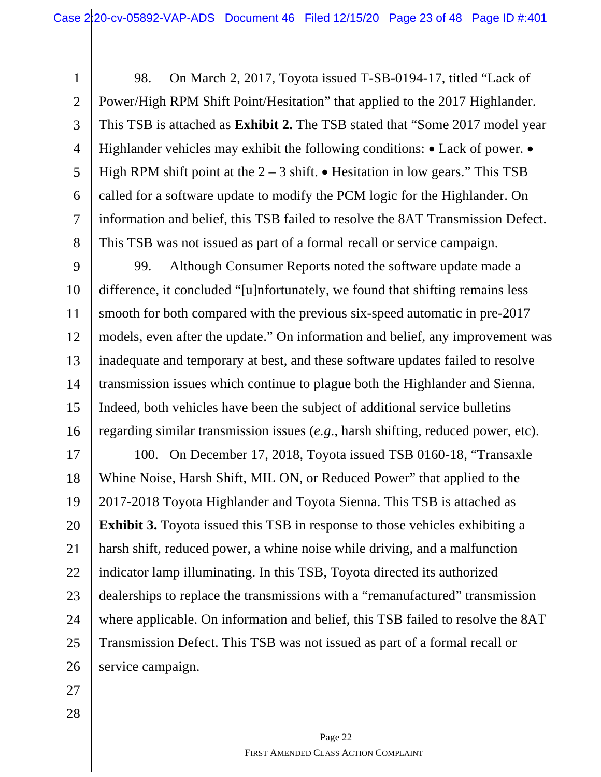1 2 3 4 5 6 7 8 98. On March 2, 2017, Toyota issued T-SB-0194-17, titled "Lack of Power/High RPM Shift Point/Hesitation" that applied to the 2017 Highlander. This TSB is attached as **Exhibit 2.** The TSB stated that "Some 2017 model year Highlander vehicles may exhibit the following conditions: • Lack of power. • High RPM shift point at the  $2 - 3$  shift. • Hesitation in low gears." This TSB called for a software update to modify the PCM logic for the Highlander. On information and belief, this TSB failed to resolve the 8AT Transmission Defect. This TSB was not issued as part of a formal recall or service campaign.

9 10 11 12 13 14 15 16 99. Although Consumer Reports noted the software update made a difference, it concluded "[u]nfortunately, we found that shifting remains less smooth for both compared with the previous six-speed automatic in pre-2017 models, even after the update." On information and belief, any improvement was inadequate and temporary at best, and these software updates failed to resolve transmission issues which continue to plague both the Highlander and Sienna. Indeed, both vehicles have been the subject of additional service bulletins regarding similar transmission issues (*e.g*., harsh shifting, reduced power, etc).

17 18 19 20 21 22 23 24 25 26 100. On December 17, 2018, Toyota issued TSB 0160-18, "Transaxle Whine Noise, Harsh Shift, MIL ON, or Reduced Power" that applied to the 2017-2018 Toyota Highlander and Toyota Sienna. This TSB is attached as **Exhibit 3.** Toyota issued this TSB in response to those vehicles exhibiting a harsh shift, reduced power, a whine noise while driving, and a malfunction indicator lamp illuminating. In this TSB, Toyota directed its authorized dealerships to replace the transmissions with a "remanufactured" transmission where applicable. On information and belief, this TSB failed to resolve the 8AT Transmission Defect. This TSB was not issued as part of a formal recall or service campaign.

- 27
- 28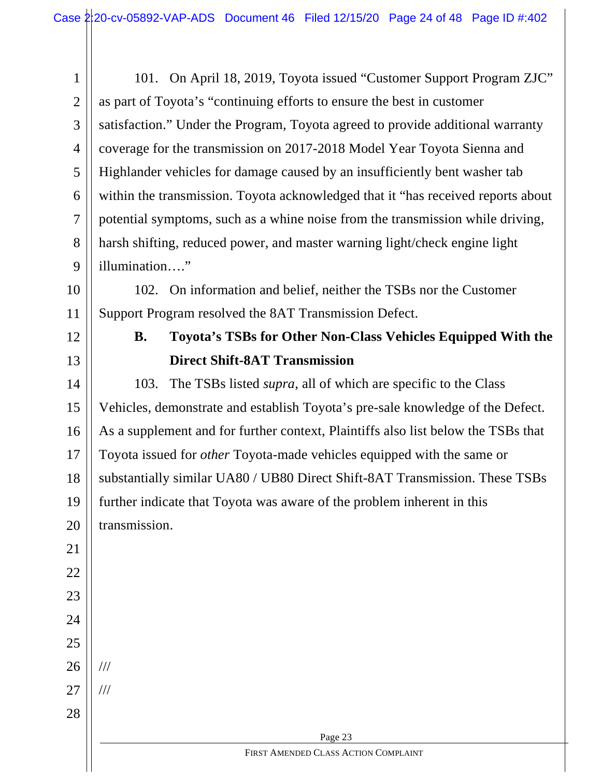| $\mathbf{1}$   | 101. On April 18, 2019, Toyota issued "Customer Support Program ZJC"              |  |  |  |  |  |
|----------------|-----------------------------------------------------------------------------------|--|--|--|--|--|
| $\overline{2}$ | as part of Toyota's "continuing efforts to ensure the best in customer            |  |  |  |  |  |
| 3              | satisfaction." Under the Program, Toyota agreed to provide additional warranty    |  |  |  |  |  |
| $\overline{4}$ | coverage for the transmission on 2017-2018 Model Year Toyota Sienna and           |  |  |  |  |  |
| 5              | Highlander vehicles for damage caused by an insufficiently bent washer tab        |  |  |  |  |  |
| 6              | within the transmission. Toyota acknowledged that it "has received reports about  |  |  |  |  |  |
| $\overline{7}$ | potential symptoms, such as a whine noise from the transmission while driving,    |  |  |  |  |  |
| 8              | harsh shifting, reduced power, and master warning light/check engine light        |  |  |  |  |  |
| 9              | illumination"                                                                     |  |  |  |  |  |
| 10             | 102. On information and belief, neither the TSBs nor the Customer                 |  |  |  |  |  |
| 11             | Support Program resolved the 8AT Transmission Defect.                             |  |  |  |  |  |
| 12             | Toyota's TSBs for Other Non-Class Vehicles Equipped With the<br><b>B.</b>         |  |  |  |  |  |
| 13             | <b>Direct Shift-8AT Transmission</b>                                              |  |  |  |  |  |
| 14             | The TSBs listed <i>supra</i> , all of which are specific to the Class<br>103.     |  |  |  |  |  |
| 15             | Vehicles, demonstrate and establish Toyota's pre-sale knowledge of the Defect.    |  |  |  |  |  |
| 16             | As a supplement and for further context, Plaintiffs also list below the TSBs that |  |  |  |  |  |
| 17             | Toyota issued for <i>other</i> Toyota-made vehicles equipped with the same or     |  |  |  |  |  |
| 18             | substantially similar UA80 / UB80 Direct Shift-8AT Transmission. These TSBs       |  |  |  |  |  |
| 19             | further indicate that Toyota was aware of the problem inherent in this            |  |  |  |  |  |
| 20             | transmission.                                                                     |  |  |  |  |  |
| 21             |                                                                                   |  |  |  |  |  |
| 22             |                                                                                   |  |  |  |  |  |
| 23             |                                                                                   |  |  |  |  |  |
| 24             |                                                                                   |  |  |  |  |  |
| 25             |                                                                                   |  |  |  |  |  |
| 26             | 111                                                                               |  |  |  |  |  |
| 27             | $\frac{1}{1}$                                                                     |  |  |  |  |  |
| 28             |                                                                                   |  |  |  |  |  |
|                | Page 23                                                                           |  |  |  |  |  |
|                | FIRST AMENDED CLASS ACTION COMPLAINT                                              |  |  |  |  |  |
|                |                                                                                   |  |  |  |  |  |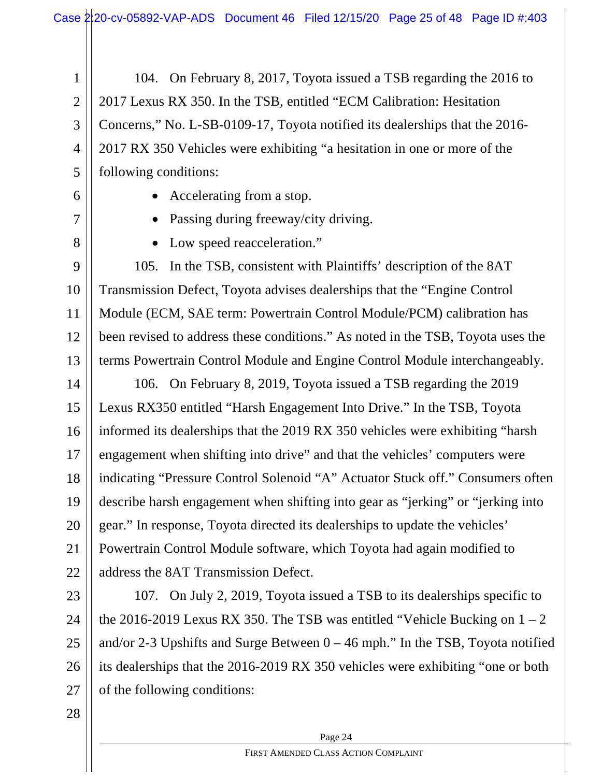1 2 3 4 5 104. On February 8, 2017, Toyota issued a TSB regarding the 2016 to 2017 Lexus RX 350. In the TSB, entitled "ECM Calibration: Hesitation Concerns," No. L-SB-0109-17, Toyota notified its dealerships that the 2016- 2017 RX 350 Vehicles were exhibiting "a hesitation in one or more of the following conditions:

6

7

8

- Accelerating from a stop.
- Passing during freeway/city driving.
- Low speed reacceleration."

9 10 11 12 13 105. In the TSB, consistent with Plaintiffs' description of the 8AT Transmission Defect, Toyota advises dealerships that the "Engine Control Module (ECM, SAE term: Powertrain Control Module/PCM) calibration has been revised to address these conditions." As noted in the TSB, Toyota uses the terms Powertrain Control Module and Engine Control Module interchangeably.

14 15 16 17 18 19 20 21 22 106. On February 8, 2019, Toyota issued a TSB regarding the 2019 Lexus RX350 entitled "Harsh Engagement Into Drive." In the TSB, Toyota informed its dealerships that the 2019 RX 350 vehicles were exhibiting "harsh engagement when shifting into drive" and that the vehicles' computers were indicating "Pressure Control Solenoid "A" Actuator Stuck off." Consumers often describe harsh engagement when shifting into gear as "jerking" or "jerking into gear." In response, Toyota directed its dealerships to update the vehicles' Powertrain Control Module software, which Toyota had again modified to address the 8AT Transmission Defect.

23 24 25 26 27 107. On July 2, 2019, Toyota issued a TSB to its dealerships specific to the 2016-2019 Lexus RX 350. The TSB was entitled "Vehicle Bucking on  $1 - 2$ and/or 2-3 Upshifts and Surge Between  $0 - 46$  mph." In the TSB, Toyota notified its dealerships that the 2016-2019 RX 350 vehicles were exhibiting "one or both of the following conditions: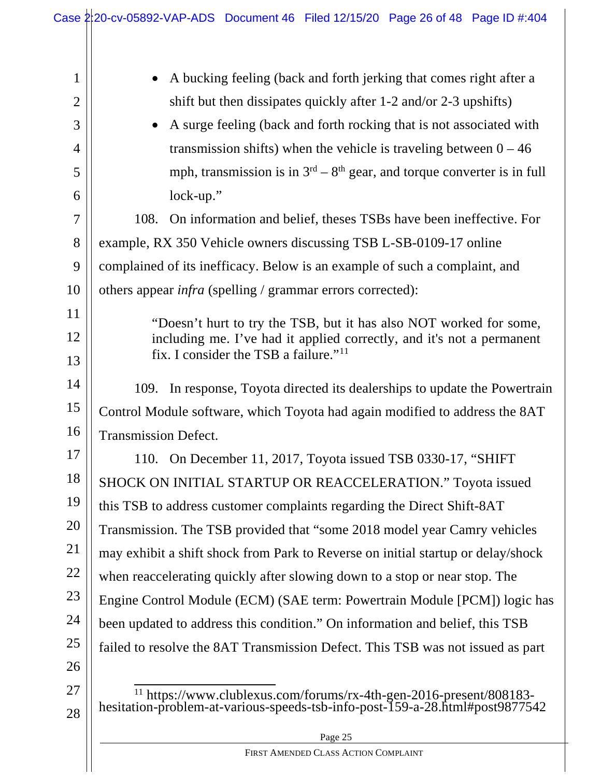|                | Case 2:20-cv-05892-VAP-ADS Document 46 Filed 12/15/20 Page 26 of 48 Page ID #:404                                                                              |  |  |  |  |  |
|----------------|----------------------------------------------------------------------------------------------------------------------------------------------------------------|--|--|--|--|--|
|                |                                                                                                                                                                |  |  |  |  |  |
| $\mathbf 1$    | A bucking feeling (back and forth jerking that comes right after a                                                                                             |  |  |  |  |  |
| $\mathbf{2}$   | shift but then dissipates quickly after 1-2 and/or 2-3 upshifts)                                                                                               |  |  |  |  |  |
| 3              | A surge feeling (back and forth rocking that is not associated with                                                                                            |  |  |  |  |  |
| $\overline{4}$ | transmission shifts) when the vehicle is traveling between $0 - 46$                                                                                            |  |  |  |  |  |
| 5              | mph, transmission is in $3rd - 8th$ gear, and torque converter is in full                                                                                      |  |  |  |  |  |
| 6              | lock-up."                                                                                                                                                      |  |  |  |  |  |
| $\overline{7}$ | 108.<br>On information and belief, theses TSBs have been ineffective. For                                                                                      |  |  |  |  |  |
| 8              | example, RX 350 Vehicle owners discussing TSB L-SB-0109-17 online                                                                                              |  |  |  |  |  |
| 9              | complained of its inefficacy. Below is an example of such a complaint, and                                                                                     |  |  |  |  |  |
| 10             | others appear infra (spelling / grammar errors corrected):                                                                                                     |  |  |  |  |  |
| 11             | "Doesn't hurt to try the TSB, but it has also NOT worked for some,                                                                                             |  |  |  |  |  |
| 12             | including me. I've had it applied correctly, and it's not a permanent                                                                                          |  |  |  |  |  |
| 13             | fix. I consider the TSB a failure." <sup>11</sup>                                                                                                              |  |  |  |  |  |
| 14             | 109. In response, Toyota directed its dealerships to update the Powertrain                                                                                     |  |  |  |  |  |
| 15             | Control Module software, which Toyota had again modified to address the 8AT                                                                                    |  |  |  |  |  |
| 16             | <b>Transmission Defect.</b>                                                                                                                                    |  |  |  |  |  |
| 17             | 110. On December 11, 2017, Toyota issued TSB 0330-17, "SHIFT"                                                                                                  |  |  |  |  |  |
| 18             | SHOCK ON INITIAL STARTUP OR REACCELERATION." Toyota issued                                                                                                     |  |  |  |  |  |
| 19             | this TSB to address customer complaints regarding the Direct Shift-8AT                                                                                         |  |  |  |  |  |
| 20             | Transmission. The TSB provided that "some 2018 model year Camry vehicles"                                                                                      |  |  |  |  |  |
| 21             | may exhibit a shift shock from Park to Reverse on initial startup or delay/shock                                                                               |  |  |  |  |  |
| 22             | when reaccelerating quickly after slowing down to a stop or near stop. The                                                                                     |  |  |  |  |  |
| 23             | Engine Control Module (ECM) (SAE term: Powertrain Module [PCM]) logic has                                                                                      |  |  |  |  |  |
| 24             | been updated to address this condition." On information and belief, this TSB                                                                                   |  |  |  |  |  |
| 25             | failed to resolve the 8AT Transmission Defect. This TSB was not issued as part                                                                                 |  |  |  |  |  |
| 26             |                                                                                                                                                                |  |  |  |  |  |
| 27             | <sup>11</sup> https://www.clublexus.com/forums/rx-4th-gen-2016-present/808183-<br>hesitation-problem-at-various-speeds-tsb-info-post-159-a-28.html#post9877542 |  |  |  |  |  |
| 28             |                                                                                                                                                                |  |  |  |  |  |
|                | Page 25                                                                                                                                                        |  |  |  |  |  |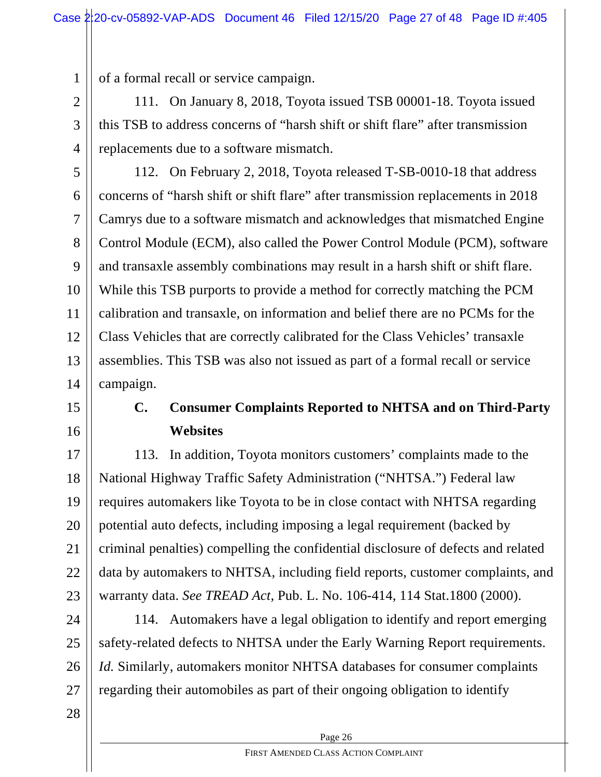1 of a formal recall or service campaign.

2 3 4 111. On January 8, 2018, Toyota issued TSB 00001-18. Toyota issued this TSB to address concerns of "harsh shift or shift flare" after transmission replacements due to a software mismatch.

5 6 7 8 9 10 11 12 13 14 112. On February 2, 2018, Toyota released T-SB-0010-18 that address concerns of "harsh shift or shift flare" after transmission replacements in 2018 Camrys due to a software mismatch and acknowledges that mismatched Engine Control Module (ECM), also called the Power Control Module (PCM), software and transaxle assembly combinations may result in a harsh shift or shift flare. While this TSB purports to provide a method for correctly matching the PCM calibration and transaxle, on information and belief there are no PCMs for the Class Vehicles that are correctly calibrated for the Class Vehicles' transaxle assemblies. This TSB was also not issued as part of a formal recall or service campaign.

### 15

16

## **C. Consumer Complaints Reported to NHTSA and on Third-Party Websites**

17 18 19 20 21 22 23 113. In addition, Toyota monitors customers' complaints made to the National Highway Traffic Safety Administration ("NHTSA.") Federal law requires automakers like Toyota to be in close contact with NHTSA regarding potential auto defects, including imposing a legal requirement (backed by criminal penalties) compelling the confidential disclosure of defects and related data by automakers to NHTSA, including field reports, customer complaints, and warranty data. *See TREAD Act,* Pub. L. No. 106-414, 114 Stat.1800 (2000).

24 25 26 27 114. Automakers have a legal obligation to identify and report emerging safety-related defects to NHTSA under the Early Warning Report requirements. *Id.* Similarly, automakers monitor NHTSA databases for consumer complaints regarding their automobiles as part of their ongoing obligation to identify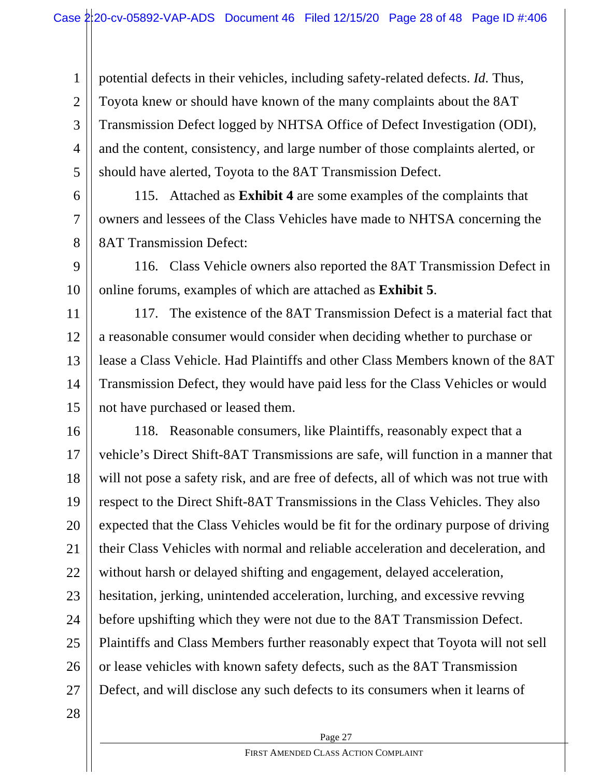2 3 4 5 potential defects in their vehicles, including safety-related defects. *Id.* Thus, Toyota knew or should have known of the many complaints about the 8AT Transmission Defect logged by NHTSA Office of Defect Investigation (ODI), and the content, consistency, and large number of those complaints alerted, or should have alerted, Toyota to the 8AT Transmission Defect.

6 7 8 115. Attached as **Exhibit 4** are some examples of the complaints that owners and lessees of the Class Vehicles have made to NHTSA concerning the 8AT Transmission Defect:

9 10 116. Class Vehicle owners also reported the 8AT Transmission Defect in online forums, examples of which are attached as **Exhibit 5**.

11 12 13 14 15 117. The existence of the 8AT Transmission Defect is a material fact that a reasonable consumer would consider when deciding whether to purchase or lease a Class Vehicle. Had Plaintiffs and other Class Members known of the 8AT Transmission Defect, they would have paid less for the Class Vehicles or would not have purchased or leased them.

16 17 18 19 20 21 22 23 24 25 26 27 118. Reasonable consumers, like Plaintiffs, reasonably expect that a vehicle's Direct Shift-8AT Transmissions are safe, will function in a manner that will not pose a safety risk, and are free of defects, all of which was not true with respect to the Direct Shift-8AT Transmissions in the Class Vehicles. They also expected that the Class Vehicles would be fit for the ordinary purpose of driving their Class Vehicles with normal and reliable acceleration and deceleration, and without harsh or delayed shifting and engagement, delayed acceleration, hesitation, jerking, unintended acceleration, lurching, and excessive revving before upshifting which they were not due to the 8AT Transmission Defect. Plaintiffs and Class Members further reasonably expect that Toyota will not sell or lease vehicles with known safety defects, such as the 8AT Transmission Defect, and will disclose any such defects to its consumers when it learns of

Page 27

28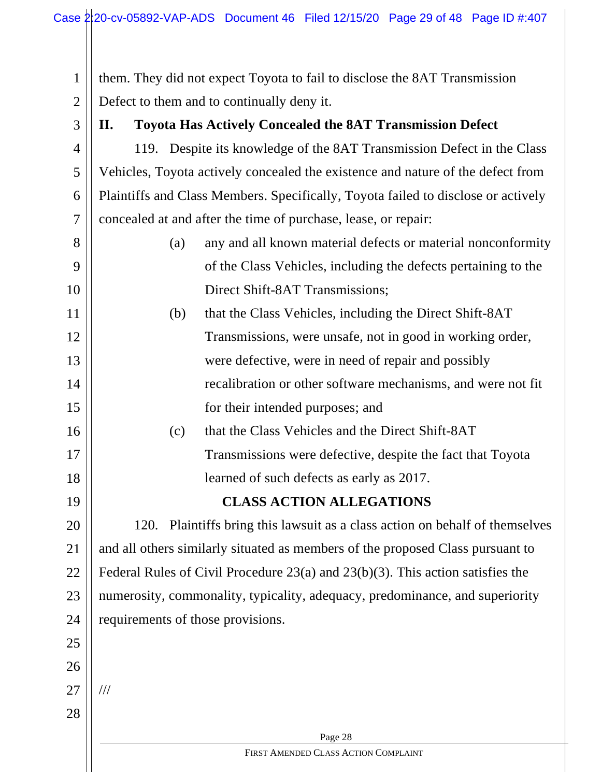1 2 them. They did not expect Toyota to fail to disclose the 8AT Transmission Defect to them and to continually deny it.

3

4

5

6

7

**II. Toyota Has Actively Concealed the 8AT Transmission Defect**

119. Despite its knowledge of the 8AT Transmission Defect in the Class Vehicles, Toyota actively concealed the existence and nature of the defect from Plaintiffs and Class Members. Specifically, Toyota failed to disclose or actively concealed at and after the time of purchase, lease, or repair:

- 8 9 10 (a) any and all known material defects or material nonconformity of the Class Vehicles, including the defects pertaining to the Direct Shift-8AT Transmissions;
- 11 12 13 14 15 (b) that the Class Vehicles, including the Direct Shift-8AT Transmissions, were unsafe, not in good in working order, were defective, were in need of repair and possibly recalibration or other software mechanisms, and were not fit for their intended purposes; and
	- (c) that the Class Vehicles and the Direct Shift-8AT Transmissions were defective, despite the fact that Toyota learned of such defects as early as 2017.

**CLASS ACTION ALLEGATIONS**

20 21 22 23 24 120. Plaintiffs bring this lawsuit as a class action on behalf of themselves and all others similarly situated as members of the proposed Class pursuant to Federal Rules of Civil Procedure 23(a) and 23(b)(3). This action satisfies the numerosity, commonality, typicality, adequacy, predominance, and superiority requirements of those provisions.

> Page 28 FIRST AMENDED CLASS ACTION COMPLAINT

25 26

16

17

18

19

27 ///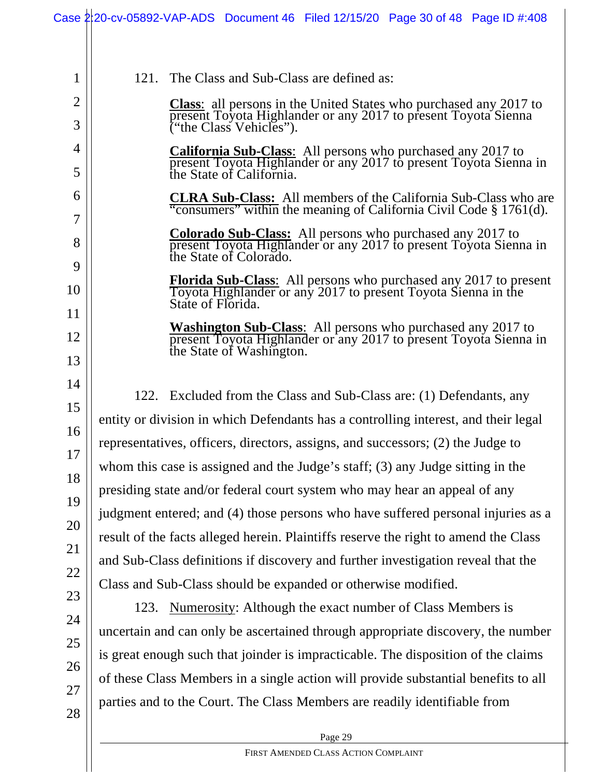|                | Case 2:20-cv-05892-VAP-ADS Document 46 Filed 12/15/20 Page 30 of 48 Page ID #:408                                                                               |  |  |  |  |  |  |  |
|----------------|-----------------------------------------------------------------------------------------------------------------------------------------------------------------|--|--|--|--|--|--|--|
|                |                                                                                                                                                                 |  |  |  |  |  |  |  |
|                |                                                                                                                                                                 |  |  |  |  |  |  |  |
| 1              | The Class and Sub-Class are defined as:<br>121.                                                                                                                 |  |  |  |  |  |  |  |
| $\overline{2}$ | <b>Class:</b> all persons in the United States who purchased any 2017 to<br>present Toyota Highlander or any 2017 to present Toyota Sienna                      |  |  |  |  |  |  |  |
| 3              | ("the Class Vehicles").                                                                                                                                         |  |  |  |  |  |  |  |
| $\overline{4}$ | <b>California Sub-Class:</b> All persons who purchased any 2017 to<br>present Toyota Highlander or any 2017 to present Toyota Sienna in                         |  |  |  |  |  |  |  |
| 5              | the State of California.                                                                                                                                        |  |  |  |  |  |  |  |
| 6              | <b>CLRA Sub-Class:</b> All members of the California Sub-Class who are<br>"consumers" within the meaning of California Civil Code § 1761(d).                    |  |  |  |  |  |  |  |
| $\overline{7}$ |                                                                                                                                                                 |  |  |  |  |  |  |  |
| 8<br>9         | <b>Colorado Sub-Class:</b> All persons who purchased any 2017 to<br>present Toyota Highlander or any 2017 to present Toyota Sienna in<br>the State of Colorado. |  |  |  |  |  |  |  |
|                | <b>Florida Sub-Class:</b> All persons who purchased any 2017 to present                                                                                         |  |  |  |  |  |  |  |
| 10             | Toyota Highlander or any 2017 to present Toyota Sienna in the<br>State of Florida.                                                                              |  |  |  |  |  |  |  |
| 11             | <b>Washington Sub-Class:</b> All persons who purchased any 2017 to                                                                                              |  |  |  |  |  |  |  |
| 12             | present Toyota Highlander or any 2017 to present Toyota Sienna in<br>the State of Washington.                                                                   |  |  |  |  |  |  |  |
| 13             |                                                                                                                                                                 |  |  |  |  |  |  |  |
| 14             | 122. Excluded from the Class and Sub-Class are: (1) Defendants, any                                                                                             |  |  |  |  |  |  |  |
| 15             | entity or division in which Defendants has a controlling interest, and their legal                                                                              |  |  |  |  |  |  |  |
| 16             | representatives, officers, directors, assigns, and successors; (2) the Judge to                                                                                 |  |  |  |  |  |  |  |
| 17             | whom this case is assigned and the Judge's staff; (3) any Judge sitting in the                                                                                  |  |  |  |  |  |  |  |
| 18             | presiding state and/or federal court system who may hear an appeal of any                                                                                       |  |  |  |  |  |  |  |
| 19             | judgment entered; and (4) those persons who have suffered personal injuries as a                                                                                |  |  |  |  |  |  |  |
| 20             | result of the facts alleged herein. Plaintiffs reserve the right to amend the Class                                                                             |  |  |  |  |  |  |  |
| 21             | and Sub-Class definitions if discovery and further investigation reveal that the                                                                                |  |  |  |  |  |  |  |
| 22             | Class and Sub-Class should be expanded or otherwise modified.                                                                                                   |  |  |  |  |  |  |  |
| 23             | 123. Numerosity: Although the exact number of Class Members is                                                                                                  |  |  |  |  |  |  |  |
| 24             |                                                                                                                                                                 |  |  |  |  |  |  |  |
| 25             | uncertain and can only be ascertained through appropriate discovery, the number                                                                                 |  |  |  |  |  |  |  |
| 26             | is great enough such that joinder is impracticable. The disposition of the claims                                                                               |  |  |  |  |  |  |  |
| 27             | of these Class Members in a single action will provide substantial benefits to all                                                                              |  |  |  |  |  |  |  |
| 28             | parties and to the Court. The Class Members are readily identifiable from                                                                                       |  |  |  |  |  |  |  |
|                | Page 29                                                                                                                                                         |  |  |  |  |  |  |  |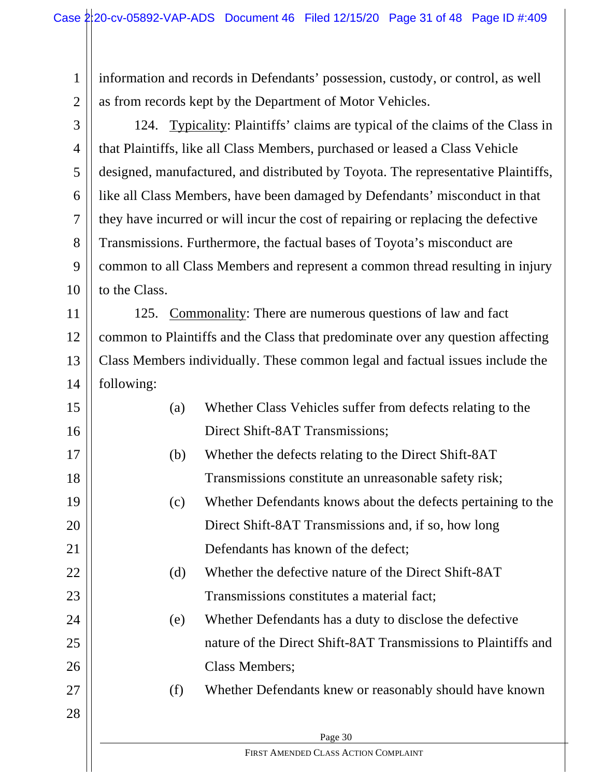1 2 information and records in Defendants' possession, custody, or control, as well as from records kept by the Department of Motor Vehicles.

3 4 5 6 7 8 9 10 124. Typicality: Plaintiffs' claims are typical of the claims of the Class in that Plaintiffs, like all Class Members, purchased or leased a Class Vehicle designed, manufactured, and distributed by Toyota. The representative Plaintiffs, like all Class Members, have been damaged by Defendants' misconduct in that they have incurred or will incur the cost of repairing or replacing the defective Transmissions. Furthermore, the factual bases of Toyota's misconduct are common to all Class Members and represent a common thread resulting in injury to the Class.

11 12 13 14 125. Commonality: There are numerous questions of law and fact common to Plaintiffs and the Class that predominate over any question affecting Class Members individually. These common legal and factual issues include the following:

| 15 | (a) | Whether Class Vehicles suffer from defects relating to the     |
|----|-----|----------------------------------------------------------------|
| 16 |     | Direct Shift-8AT Transmissions;                                |
| 17 | (b) | Whether the defects relating to the Direct Shift-8AT           |
| 18 |     | Transmissions constitute an unreasonable safety risk;          |
| 19 | (c) | Whether Defendants knows about the defects pertaining to the   |
| 20 |     | Direct Shift-8AT Transmissions and, if so, how long            |
| 21 |     | Defendants has known of the defect;                            |
| 22 | (d) | Whether the defective nature of the Direct Shift-8AT           |
| 23 |     | Transmissions constitutes a material fact;                     |
| 24 | (e) | Whether Defendants has a duty to disclose the defective        |
| 25 |     | nature of the Direct Shift-8AT Transmissions to Plaintiffs and |
| 26 |     | Class Members;                                                 |
| 27 | (f) | Whether Defendants knew or reasonably should have known        |
| 28 |     |                                                                |
|    |     | Page 30                                                        |
|    |     | FIRST AMENDED CLASS ACTION COMPLAINT                           |

 $\mathbf{I}$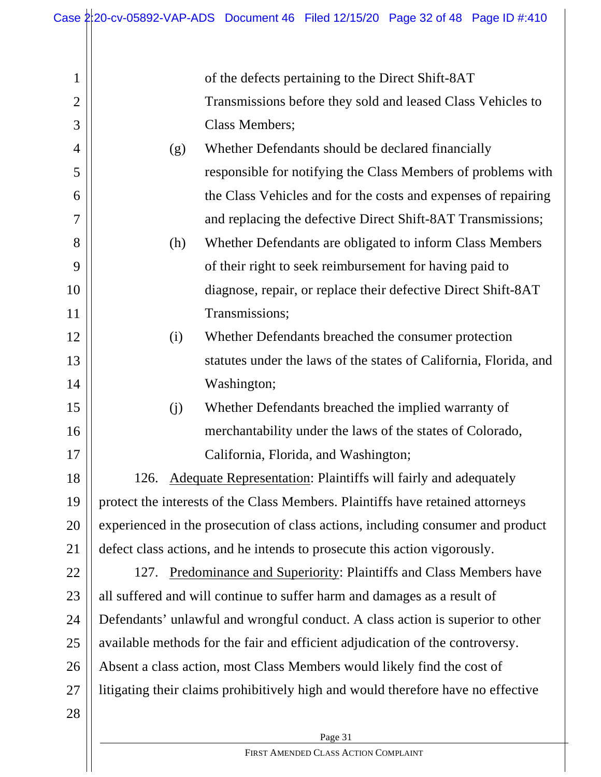| $\mathbf{1}$   |                                                                                 | of the defects pertaining to the Direct Shift-8AT                                |  |  |
|----------------|---------------------------------------------------------------------------------|----------------------------------------------------------------------------------|--|--|
| $\overline{2}$ |                                                                                 | Transmissions before they sold and leased Class Vehicles to                      |  |  |
| 3              |                                                                                 | <b>Class Members;</b>                                                            |  |  |
| $\overline{4}$ | (g)                                                                             | Whether Defendants should be declared financially                                |  |  |
| 5              |                                                                                 | responsible for notifying the Class Members of problems with                     |  |  |
| 6              |                                                                                 | the Class Vehicles and for the costs and expenses of repairing                   |  |  |
| $\overline{7}$ |                                                                                 | and replacing the defective Direct Shift-8AT Transmissions;                      |  |  |
| 8              | (h)                                                                             | Whether Defendants are obligated to inform Class Members                         |  |  |
| 9              |                                                                                 | of their right to seek reimbursement for having paid to                          |  |  |
| 10             |                                                                                 | diagnose, repair, or replace their defective Direct Shift-8AT                    |  |  |
| 11             |                                                                                 | Transmissions;                                                                   |  |  |
| 12             | (i)                                                                             | Whether Defendants breached the consumer protection                              |  |  |
| 13             |                                                                                 | statutes under the laws of the states of California, Florida, and                |  |  |
| 14             |                                                                                 | Washington;                                                                      |  |  |
| 15             | (j)                                                                             | Whether Defendants breached the implied warranty of                              |  |  |
| 16             |                                                                                 | merchantability under the laws of the states of Colorado,                        |  |  |
| 17             |                                                                                 | California, Florida, and Washington;                                             |  |  |
| 18             | 126.                                                                            | Adequate Representation: Plaintiffs will fairly and adequately                   |  |  |
| 19             | protect the interests of the Class Members. Plaintiffs have retained attorneys  |                                                                                  |  |  |
| 20             | experienced in the prosecution of class actions, including consumer and product |                                                                                  |  |  |
| 21             | defect class actions, and he intends to prosecute this action vigorously.       |                                                                                  |  |  |
| 22             | 127. Predominance and Superiority: Plaintiffs and Class Members have            |                                                                                  |  |  |
| 23             | all suffered and will continue to suffer harm and damages as a result of        |                                                                                  |  |  |
| 24             | Defendants' unlawful and wrongful conduct. A class action is superior to other  |                                                                                  |  |  |
| 25             | available methods for the fair and efficient adjudication of the controversy.   |                                                                                  |  |  |
| 26             | Absent a class action, most Class Members would likely find the cost of         |                                                                                  |  |  |
| 27             |                                                                                 | litigating their claims prohibitively high and would therefore have no effective |  |  |
| 28             |                                                                                 |                                                                                  |  |  |
|                |                                                                                 | Page 31                                                                          |  |  |

 $\overline{a}$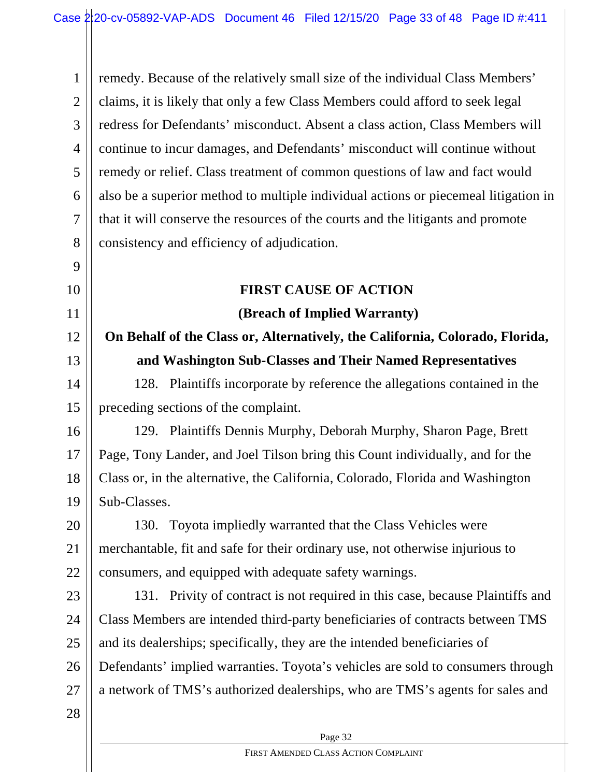1 2 3 4 5 6 7 8 remedy. Because of the relatively small size of the individual Class Members' claims, it is likely that only a few Class Members could afford to seek legal redress for Defendants' misconduct. Absent a class action, Class Members will continue to incur damages, and Defendants' misconduct will continue without remedy or relief. Class treatment of common questions of law and fact would also be a superior method to multiple individual actions or piecemeal litigation in that it will conserve the resources of the courts and the litigants and promote consistency and efficiency of adjudication.

### 10

9

11

12

13

### **(Breach of Implied Warranty) On Behalf of the Class or, Alternatively, the California, Colorado, Florida,**

**and Washington Sub-Classes and Their Named Representatives**

**FIRST CAUSE OF ACTION**

14 15 128. Plaintiffs incorporate by reference the allegations contained in the preceding sections of the complaint.

16 17 18 19 129. Plaintiffs Dennis Murphy, Deborah Murphy, Sharon Page, Brett Page, Tony Lander, and Joel Tilson bring this Count individually, and for the Class or, in the alternative, the California, Colorado, Florida and Washington Sub-Classes.

20 21 22 130. Toyota impliedly warranted that the Class Vehicles were merchantable, fit and safe for their ordinary use, not otherwise injurious to consumers, and equipped with adequate safety warnings.

23 24 25 26 27 131. Privity of contract is not required in this case, because Plaintiffs and Class Members are intended third-party beneficiaries of contracts between TMS and its dealerships; specifically, they are the intended beneficiaries of Defendants' implied warranties. Toyota's vehicles are sold to consumers through a network of TMS's authorized dealerships, who are TMS's agents for sales and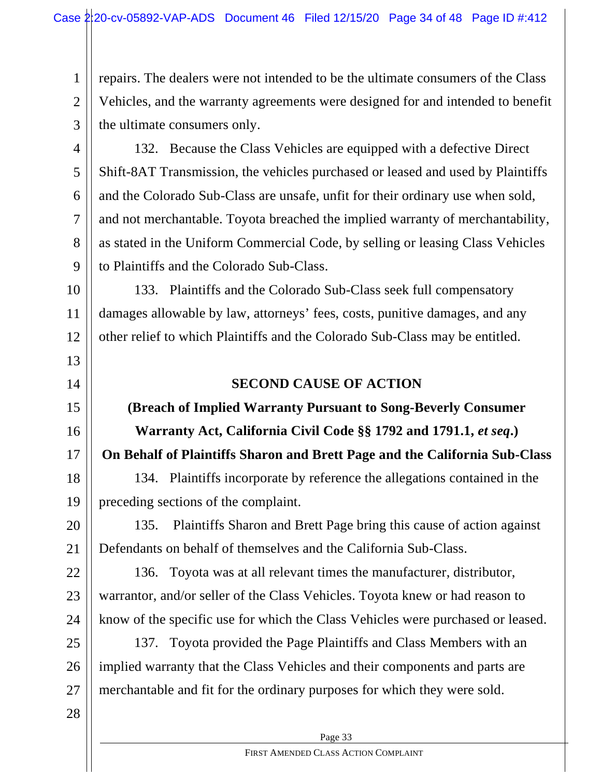2 3 repairs. The dealers were not intended to be the ultimate consumers of the Class Vehicles, and the warranty agreements were designed for and intended to benefit the ultimate consumers only.

4 5 6 7 8 9 132. Because the Class Vehicles are equipped with a defective Direct Shift-8AT Transmission, the vehicles purchased or leased and used by Plaintiffs and the Colorado Sub-Class are unsafe, unfit for their ordinary use when sold, and not merchantable. Toyota breached the implied warranty of merchantability, as stated in the Uniform Commercial Code, by selling or leasing Class Vehicles to Plaintiffs and the Colorado Sub-Class.

10 11 12 133. Plaintiffs and the Colorado Sub-Class seek full compensatory damages allowable by law, attorneys' fees, costs, punitive damages, and any other relief to which Plaintiffs and the Colorado Sub-Class may be entitled.

### **SECOND CAUSE OF ACTION**

### **(Breach of Implied Warranty Pursuant to Song-Beverly Consumer Warranty Act, California Civil Code §§ 1792 and 1791.1,** *et seq***.) On Behalf of Plaintiffs Sharon and Brett Page and the California Sub-Class**

18 19 134. Plaintiffs incorporate by reference the allegations contained in the preceding sections of the complaint.

20 21 135. Plaintiffs Sharon and Brett Page bring this cause of action against Defendants on behalf of themselves and the California Sub-Class.

22 23 24 136. Toyota was at all relevant times the manufacturer, distributor, warrantor, and/or seller of the Class Vehicles. Toyota knew or had reason to know of the specific use for which the Class Vehicles were purchased or leased.

25 26 27 137. Toyota provided the Page Plaintiffs and Class Members with an implied warranty that the Class Vehicles and their components and parts are merchantable and fit for the ordinary purposes for which they were sold.

28

1

13

14

15

16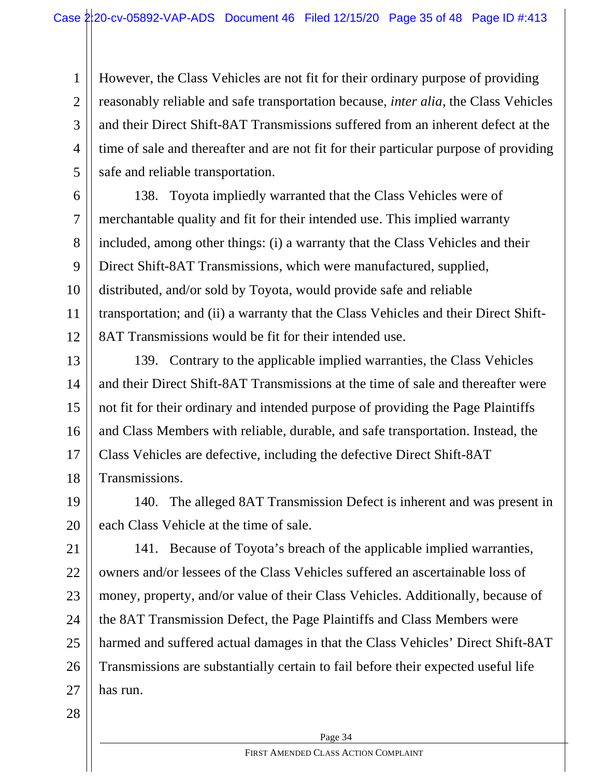2 3 4 5 However, the Class Vehicles are not fit for their ordinary purpose of providing reasonably reliable and safe transportation because, *inter alia*, the Class Vehicles and their Direct Shift-8AT Transmissions suffered from an inherent defect at the time of sale and thereafter and are not fit for their particular purpose of providing safe and reliable transportation.

6 7 8 9 10 11 12 138. Toyota impliedly warranted that the Class Vehicles were of merchantable quality and fit for their intended use. This implied warranty included, among other things: (i) a warranty that the Class Vehicles and their Direct Shift-8AT Transmissions, which were manufactured, supplied, distributed, and/or sold by Toyota, would provide safe and reliable transportation; and (ii) a warranty that the Class Vehicles and their Direct Shift-8AT Transmissions would be fit for their intended use.

13 14 15 16 17 18 139. Contrary to the applicable implied warranties, the Class Vehicles and their Direct Shift-8AT Transmissions at the time of sale and thereafter were not fit for their ordinary and intended purpose of providing the Page Plaintiffs and Class Members with reliable, durable, and safe transportation. Instead, the Class Vehicles are defective, including the defective Direct Shift-8AT Transmissions.

19 20 140. The alleged 8AT Transmission Defect is inherent and was present in each Class Vehicle at the time of sale.

21 22 23 24 25 26 27 141. Because of Toyota's breach of the applicable implied warranties, owners and/or lessees of the Class Vehicles suffered an ascertainable loss of money, property, and/or value of their Class Vehicles. Additionally, because of the 8AT Transmission Defect, the Page Plaintiffs and Class Members were harmed and suffered actual damages in that the Class Vehicles' Direct Shift-8AT Transmissions are substantially certain to fail before their expected useful life has run.

28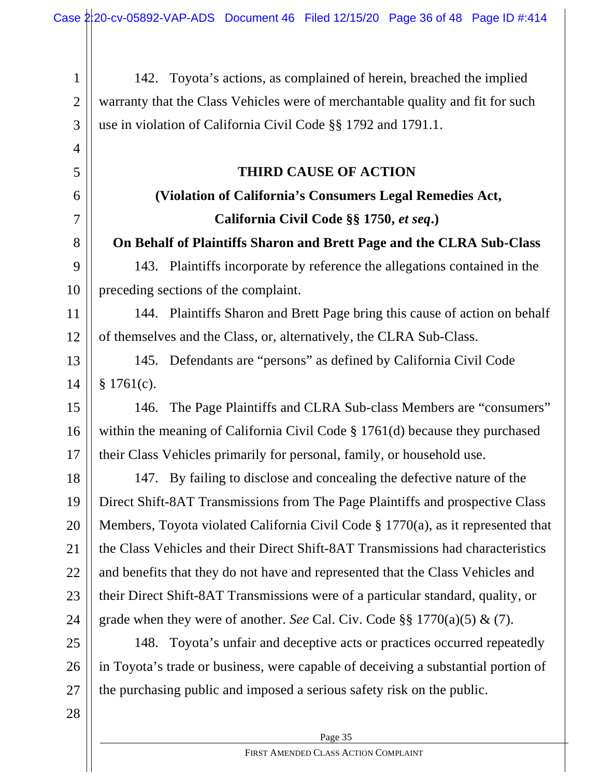142. Toyota's actions, as complained of herein, breached the implied warranty that the Class Vehicles were of merchantable quality and fit for such use in violation of California Civil Code §§ 1792 and 1791.1.

### **THIRD CAUSE OF ACTION**

### **(Violation of California's Consumers Legal Remedies Act, California Civil Code §§ 1750,** *et seq***.)**

**On Behalf of Plaintiffs Sharon and Brett Page and the CLRA Sub-Class**

143. Plaintiffs incorporate by reference the allegations contained in the preceding sections of the complaint.

11 12 144. Plaintiffs Sharon and Brett Page bring this cause of action on behalf of themselves and the Class, or, alternatively, the CLRA Sub-Class.

13 14 145. Defendants are "persons" as defined by California Civil Code § 1761(c).

15 16 17 146. The Page Plaintiffs and CLRA Sub-class Members are "consumers" within the meaning of California Civil Code § 1761(d) because they purchased their Class Vehicles primarily for personal, family, or household use.

18 19 20 21 22 23 24 147. By failing to disclose and concealing the defective nature of the Direct Shift-8AT Transmissions from The Page Plaintiffs and prospective Class Members, Toyota violated California Civil Code § 1770(a), as it represented that the Class Vehicles and their Direct Shift-8AT Transmissions had characteristics and benefits that they do not have and represented that the Class Vehicles and their Direct Shift-8AT Transmissions were of a particular standard, quality, or grade when they were of another. *See* Cal. Civ. Code §§ 1770(a)(5) & (7).

25 26 27 148. Toyota's unfair and deceptive acts or practices occurred repeatedly in Toyota's trade or business, were capable of deceiving a substantial portion of the purchasing public and imposed a serious safety risk on the public.

28

1

2

3

4

5

6

7

8

9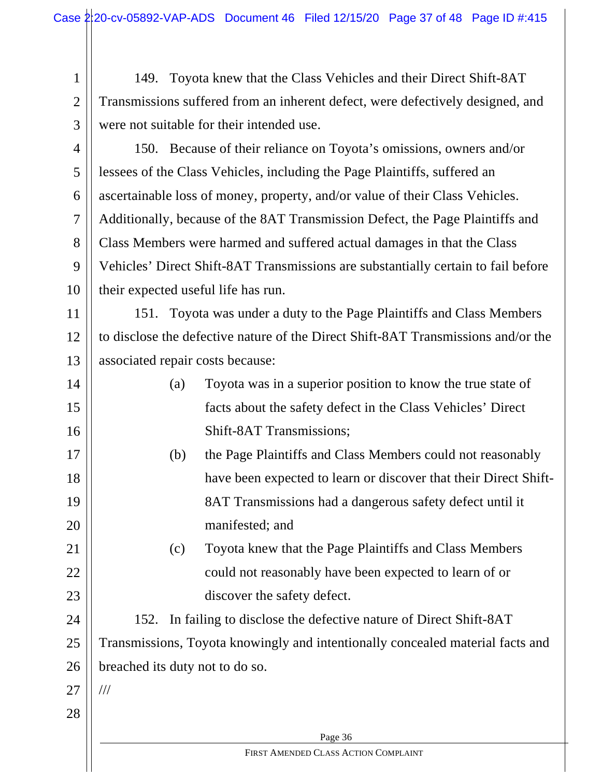1 2 3 149. Toyota knew that the Class Vehicles and their Direct Shift-8AT Transmissions suffered from an inherent defect, were defectively designed, and were not suitable for their intended use.

4

5

6

7

8

9

10

150. Because of their reliance on Toyota's omissions, owners and/or lessees of the Class Vehicles, including the Page Plaintiffs, suffered an ascertainable loss of money, property, and/or value of their Class Vehicles. Additionally, because of the 8AT Transmission Defect, the Page Plaintiffs and Class Members were harmed and suffered actual damages in that the Class Vehicles' Direct Shift-8AT Transmissions are substantially certain to fail before their expected useful life has run.

11 12 13 151. Toyota was under a duty to the Page Plaintiffs and Class Members to disclose the defective nature of the Direct Shift-8AT Transmissions and/or the associated repair costs because:

- 14 15 16 (a) Toyota was in a superior position to know the true state of facts about the safety defect in the Class Vehicles' Direct Shift-8AT Transmissions;
- 17 18 19 20 (b) the Page Plaintiffs and Class Members could not reasonably have been expected to learn or discover that their Direct Shift-8AT Transmissions had a dangerous safety defect until it manifested; and
	- (c) Toyota knew that the Page Plaintiffs and Class Members could not reasonably have been expected to learn of or discover the safety defect.

24 25 26 152. In failing to disclose the defective nature of Direct Shift-8AT Transmissions, Toyota knowingly and intentionally concealed material facts and breached its duty not to do so.

27

///

28

21

22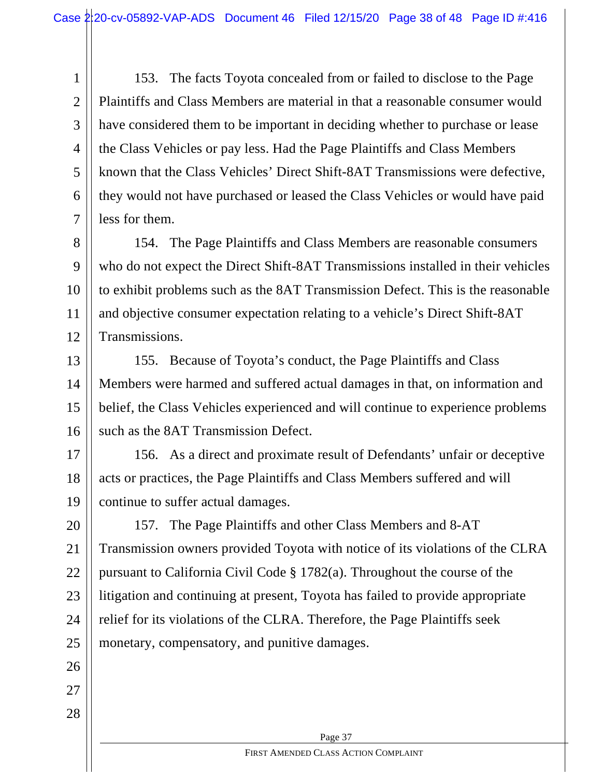1 2 3 4 5 6 7 153. The facts Toyota concealed from or failed to disclose to the Page Plaintiffs and Class Members are material in that a reasonable consumer would have considered them to be important in deciding whether to purchase or lease the Class Vehicles or pay less. Had the Page Plaintiffs and Class Members known that the Class Vehicles' Direct Shift-8AT Transmissions were defective, they would not have purchased or leased the Class Vehicles or would have paid less for them.

8 9 10 11 12 154. The Page Plaintiffs and Class Members are reasonable consumers who do not expect the Direct Shift-8AT Transmissions installed in their vehicles to exhibit problems such as the 8AT Transmission Defect. This is the reasonable and objective consumer expectation relating to a vehicle's Direct Shift-8AT Transmissions.

13 14 15 16 155. Because of Toyota's conduct, the Page Plaintiffs and Class Members were harmed and suffered actual damages in that, on information and belief, the Class Vehicles experienced and will continue to experience problems such as the 8AT Transmission Defect.

17 18 19 156. As a direct and proximate result of Defendants' unfair or deceptive acts or practices, the Page Plaintiffs and Class Members suffered and will continue to suffer actual damages.

20 21 22 23 24 25 157. The Page Plaintiffs and other Class Members and 8-AT Transmission owners provided Toyota with notice of its violations of the CLRA pursuant to California Civil Code § 1782(a). Throughout the course of the litigation and continuing at present, Toyota has failed to provide appropriate relief for its violations of the CLRA. Therefore, the Page Plaintiffs seek monetary, compensatory, and punitive damages.

26

27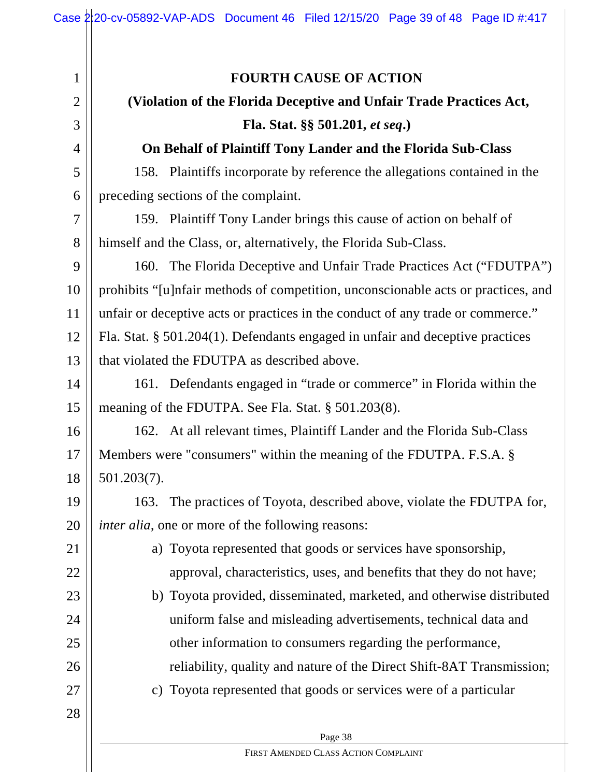### **FOURTH CAUSE OF ACTION**

# **(Violation of the Florida Deceptive and Unfair Trade Practices Act,**

### **Fla. Stat. §§ 501.201,** *et seq***.)**

### **On Behalf of Plaintiff Tony Lander and the Florida Sub-Class**

158. Plaintiffs incorporate by reference the allegations contained in the preceding sections of the complaint.

159. Plaintiff Tony Lander brings this cause of action on behalf of himself and the Class, or, alternatively, the Florida Sub-Class.

9 10 11 12 13 160. The Florida Deceptive and Unfair Trade Practices Act ("FDUTPA") prohibits "[u]nfair methods of competition, unconscionable acts or practices, and unfair or deceptive acts or practices in the conduct of any trade or commerce." Fla. Stat. § 501.204(1). Defendants engaged in unfair and deceptive practices that violated the FDUTPA as described above.

14 15 161. Defendants engaged in "trade or commerce" in Florida within the meaning of the FDUTPA. See Fla. Stat. § 501.203(8).

16 17 18 162. At all relevant times, Plaintiff Lander and the Florida Sub-Class Members were "consumers" within the meaning of the FDUTPA. F.S.A. § 501.203(7).

19 20 163. The practices of Toyota, described above, violate the FDUTPA for, *inter alia,* one or more of the following reasons:

- a) Toyota represented that goods or services have sponsorship, approval, characteristics, uses, and benefits that they do not have;
- 23 24 25 26 b) Toyota provided, disseminated, marketed, and otherwise distributed uniform false and misleading advertisements, technical data and other information to consumers regarding the performance, reliability, quality and nature of the Direct Shift-8AT Transmission;
	- c) Toyota represented that goods or services were of a particular
- 28

27

21

22

1

2

3

4

5

6

7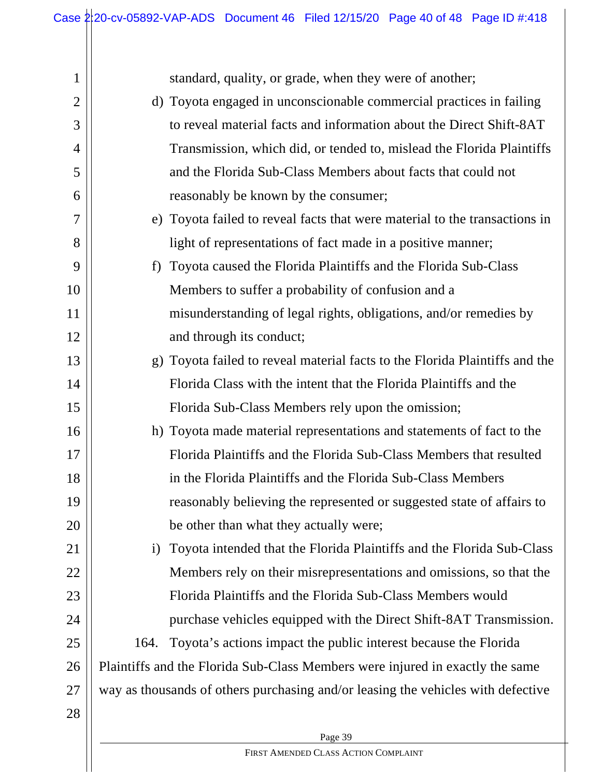| 1              |                                                                     | standard, quality, or grade, when they were of another;                          |  |  |
|----------------|---------------------------------------------------------------------|----------------------------------------------------------------------------------|--|--|
| $\overline{2}$ |                                                                     | d) Toyota engaged in unconscionable commercial practices in failing              |  |  |
| 3              | to reveal material facts and information about the Direct Shift-8AT |                                                                                  |  |  |
| 4              |                                                                     | Transmission, which did, or tended to, mislead the Florida Plaintiffs            |  |  |
| 5              |                                                                     | and the Florida Sub-Class Members about facts that could not                     |  |  |
| 6              |                                                                     | reasonably be known by the consumer;                                             |  |  |
| 7              |                                                                     | e) Toyota failed to reveal facts that were material to the transactions in       |  |  |
| 8              |                                                                     | light of representations of fact made in a positive manner;                      |  |  |
| 9              | f                                                                   | Toyota caused the Florida Plaintiffs and the Florida Sub-Class                   |  |  |
| 10             |                                                                     | Members to suffer a probability of confusion and a                               |  |  |
| 11             |                                                                     | misunderstanding of legal rights, obligations, and/or remedies by                |  |  |
| 12             |                                                                     | and through its conduct;                                                         |  |  |
| 13             |                                                                     | g) Toyota failed to reveal material facts to the Florida Plaintiffs and the      |  |  |
| 14             |                                                                     | Florida Class with the intent that the Florida Plaintiffs and the                |  |  |
| 15             |                                                                     | Florida Sub-Class Members rely upon the omission;                                |  |  |
| 16             |                                                                     | h) Toyota made material representations and statements of fact to the            |  |  |
| 17             |                                                                     | Florida Plaintiffs and the Florida Sub-Class Members that resulted               |  |  |
| 18             |                                                                     | in the Florida Plaintiffs and the Florida Sub-Class Members                      |  |  |
| 19             |                                                                     | reasonably believing the represented or suggested state of affairs to            |  |  |
| 20             |                                                                     | be other than what they actually were;                                           |  |  |
| 21             | $\mathbf{i}$                                                        | Toyota intended that the Florida Plaintiffs and the Florida Sub-Class            |  |  |
| 22             |                                                                     | Members rely on their misrepresentations and omissions, so that the              |  |  |
| 23             |                                                                     | Florida Plaintiffs and the Florida Sub-Class Members would                       |  |  |
| 24             |                                                                     | purchase vehicles equipped with the Direct Shift-8AT Transmission.               |  |  |
| 25             | 164.                                                                | Toyota's actions impact the public interest because the Florida                  |  |  |
| 26             |                                                                     | Plaintiffs and the Florida Sub-Class Members were injured in exactly the same    |  |  |
| 27             |                                                                     | way as thousands of others purchasing and/or leasing the vehicles with defective |  |  |
| 28             |                                                                     |                                                                                  |  |  |
|                |                                                                     | Page 39                                                                          |  |  |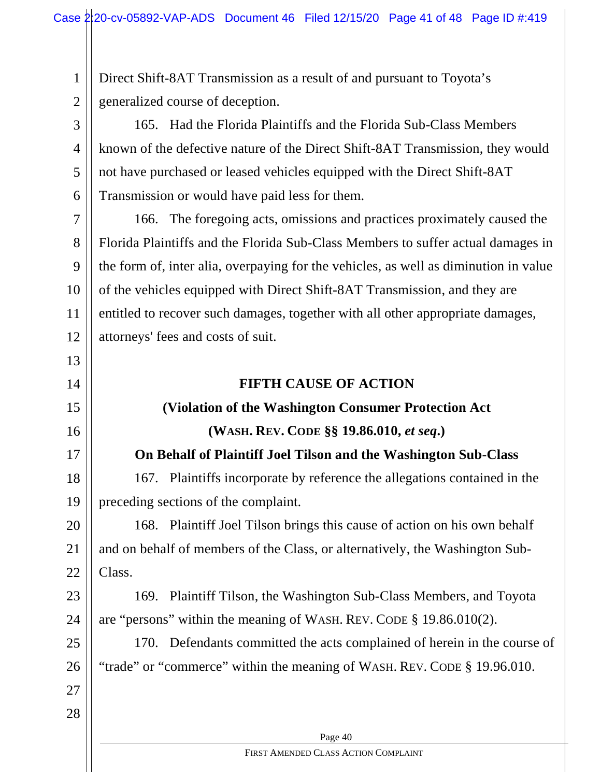1 2 Direct Shift-8AT Transmission as a result of and pursuant to Toyota's generalized course of deception.

3 4 5 6 165. Had the Florida Plaintiffs and the Florida Sub-Class Members known of the defective nature of the Direct Shift-8AT Transmission, they would not have purchased or leased vehicles equipped with the Direct Shift-8AT Transmission or would have paid less for them.

7 8 9 10 11 12 166. The foregoing acts, omissions and practices proximately caused the Florida Plaintiffs and the Florida Sub-Class Members to suffer actual damages in the form of, inter alia, overpaying for the vehicles, as well as diminution in value of the vehicles equipped with Direct Shift-8AT Transmission, and they are entitled to recover such damages, together with all other appropriate damages, attorneys' fees and costs of suit.

### **FIFTH CAUSE OF ACTION**

### **(Violation of the Washington Consumer Protection Act**

**(WASH. REV. CODE §§ 19.86.010,** *et seq***.)**

### **On Behalf of Plaintiff Joel Tilson and the Washington Sub-Class**

18 19 167. Plaintiffs incorporate by reference the allegations contained in the preceding sections of the complaint.

20 21 22 168. Plaintiff Joel Tilson brings this cause of action on his own behalf and on behalf of members of the Class, or alternatively, the Washington Sub-Class.

23 24 169. Plaintiff Tilson, the Washington Sub-Class Members, and Toyota are "persons" within the meaning of WASH. REV. CODE § 19.86.010(2).

25 26 170. Defendants committed the acts complained of herein in the course of "trade" or "commerce" within the meaning of WASH. REV. CODE § 19.96.010.

27 28

13

14

15

16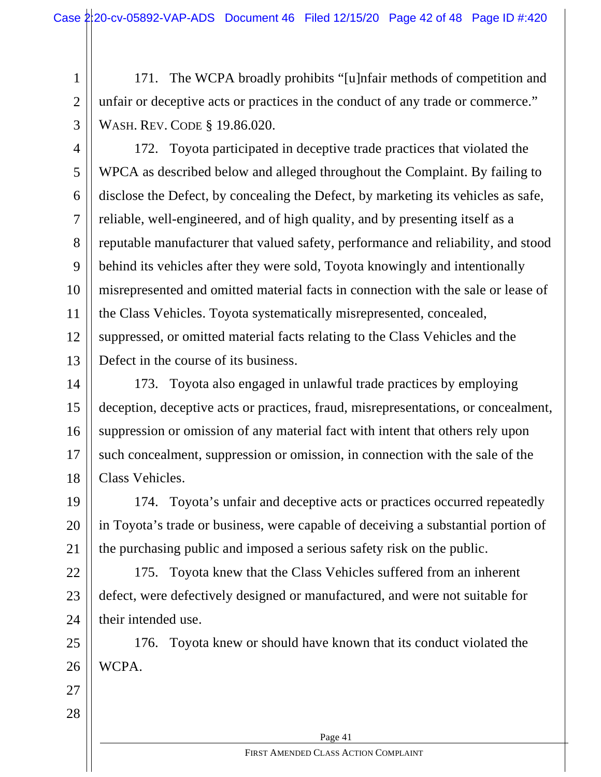2 171. The WCPA broadly prohibits "[u]nfair methods of competition and unfair or deceptive acts or practices in the conduct of any trade or commerce." WASH. REV. CODE § 19.86.020.

3

1

4 5 6 7 8 9 10 11 12 13 172. Toyota participated in deceptive trade practices that violated the WPCA as described below and alleged throughout the Complaint. By failing to disclose the Defect, by concealing the Defect, by marketing its vehicles as safe, reliable, well-engineered, and of high quality, and by presenting itself as a reputable manufacturer that valued safety, performance and reliability, and stood behind its vehicles after they were sold, Toyota knowingly and intentionally misrepresented and omitted material facts in connection with the sale or lease of the Class Vehicles. Toyota systematically misrepresented, concealed, suppressed, or omitted material facts relating to the Class Vehicles and the Defect in the course of its business.

14 15 16 17 18 173. Toyota also engaged in unlawful trade practices by employing deception, deceptive acts or practices, fraud, misrepresentations, or concealment, suppression or omission of any material fact with intent that others rely upon such concealment, suppression or omission, in connection with the sale of the Class Vehicles.

19 20 21 174. Toyota's unfair and deceptive acts or practices occurred repeatedly in Toyota's trade or business, were capable of deceiving a substantial portion of the purchasing public and imposed a serious safety risk on the public.

22 23 24 175. Toyota knew that the Class Vehicles suffered from an inherent defect, were defectively designed or manufactured, and were not suitable for their intended use.

25 26 176. Toyota knew or should have known that its conduct violated the WCPA.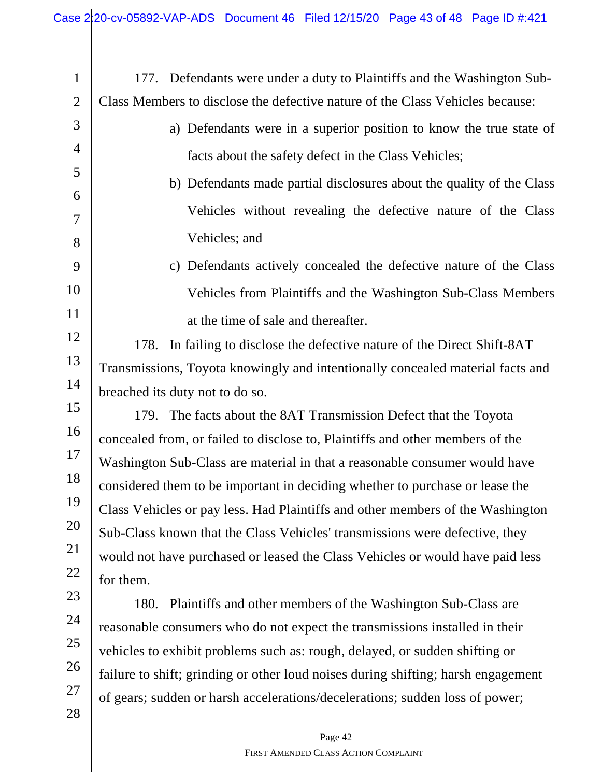| $\mathbf{1}$   | 177. Defendants were under a duty to Plaintiffs and the Washington Sub-           |  |  |  |  |  |
|----------------|-----------------------------------------------------------------------------------|--|--|--|--|--|
| $\overline{2}$ | Class Members to disclose the defective nature of the Class Vehicles because:     |  |  |  |  |  |
| 3              | a) Defendants were in a superior position to know the true state of               |  |  |  |  |  |
| $\overline{4}$ | facts about the safety defect in the Class Vehicles;                              |  |  |  |  |  |
| 5              | b) Defendants made partial disclosures about the quality of the Class             |  |  |  |  |  |
| 6              | Vehicles without revealing the defective nature of the Class                      |  |  |  |  |  |
| 7              |                                                                                   |  |  |  |  |  |
| 8              | Vehicles; and                                                                     |  |  |  |  |  |
| 9              | c) Defendants actively concealed the defective nature of the Class                |  |  |  |  |  |
| 10             | Vehicles from Plaintiffs and the Washington Sub-Class Members                     |  |  |  |  |  |
| 11             | at the time of sale and thereafter.                                               |  |  |  |  |  |
| 12             | 178. In failing to disclose the defective nature of the Direct Shift-8AT          |  |  |  |  |  |
| 13             | Transmissions, Toyota knowingly and intentionally concealed material facts and    |  |  |  |  |  |
| 14             | breached its duty not to do so.                                                   |  |  |  |  |  |
| 15             | 179. The facts about the 8AT Transmission Defect that the Toyota                  |  |  |  |  |  |
| 16             | concealed from, or failed to disclose to, Plaintiffs and other members of the     |  |  |  |  |  |
| 17             | Washington Sub-Class are material in that a reasonable consumer would have        |  |  |  |  |  |
| 18             | considered them to be important in deciding whether to purchase or lease the      |  |  |  |  |  |
| 19             | Class Vehicles or pay less. Had Plaintiffs and other members of the Washington    |  |  |  |  |  |
| 20             | Sub-Class known that the Class Vehicles' transmissions were defective, they       |  |  |  |  |  |
| 21             | would not have purchased or leased the Class Vehicles or would have paid less     |  |  |  |  |  |
| 22             | for them.                                                                         |  |  |  |  |  |
| 23             | 180.<br>Plaintiffs and other members of the Washington Sub-Class are              |  |  |  |  |  |
| 24             | reasonable consumers who do not expect the transmissions installed in their       |  |  |  |  |  |
| 25             | vehicles to exhibit problems such as: rough, delayed, or sudden shifting or       |  |  |  |  |  |
| 26             | failure to shift; grinding or other loud noises during shifting; harsh engagement |  |  |  |  |  |
| 27             | of gears; sudden or harsh accelerations/decelerations; sudden loss of power;      |  |  |  |  |  |
| 28             |                                                                                   |  |  |  |  |  |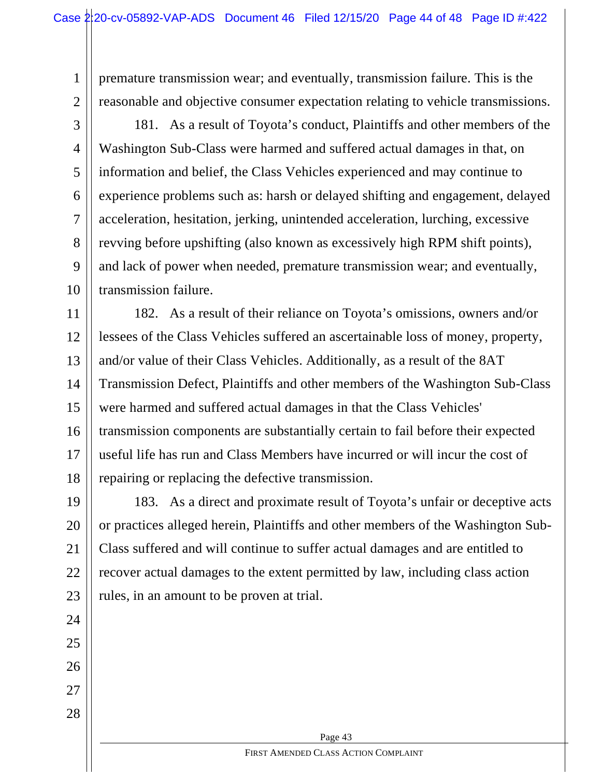premature transmission wear; and eventually, transmission failure. This is the reasonable and objective consumer expectation relating to vehicle transmissions.

3

5

7

1

2

4 6 8 9 10 181. As a result of Toyota's conduct, Plaintiffs and other members of the Washington Sub-Class were harmed and suffered actual damages in that, on information and belief, the Class Vehicles experienced and may continue to experience problems such as: harsh or delayed shifting and engagement, delayed acceleration, hesitation, jerking, unintended acceleration, lurching, excessive revving before upshifting (also known as excessively high RPM shift points), and lack of power when needed, premature transmission wear; and eventually, transmission failure.

11 12 13 14 15 16 17 18 182. As a result of their reliance on Toyota's omissions, owners and/or lessees of the Class Vehicles suffered an ascertainable loss of money, property, and/or value of their Class Vehicles. Additionally, as a result of the 8AT Transmission Defect, Plaintiffs and other members of the Washington Sub-Class were harmed and suffered actual damages in that the Class Vehicles' transmission components are substantially certain to fail before their expected useful life has run and Class Members have incurred or will incur the cost of repairing or replacing the defective transmission.

19 20 21 22 23 183. As a direct and proximate result of Toyota's unfair or deceptive acts or practices alleged herein, Plaintiffs and other members of the Washington Sub-Class suffered and will continue to suffer actual damages and are entitled to recover actual damages to the extent permitted by law, including class action rules, in an amount to be proven at trial.

27 28

24

25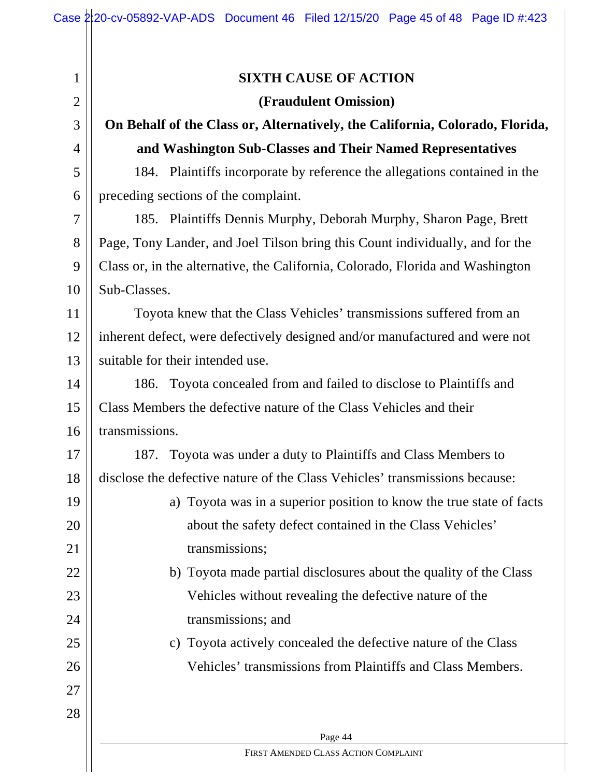| $\mathbf 1$    | <b>SIXTH CAUSE OF ACTION</b>                                                   |  |  |  |
|----------------|--------------------------------------------------------------------------------|--|--|--|
| $\overline{2}$ | (Fraudulent Omission)                                                          |  |  |  |
| 3              | On Behalf of the Class or, Alternatively, the California, Colorado, Florida,   |  |  |  |
| $\overline{4}$ | and Washington Sub-Classes and Their Named Representatives                     |  |  |  |
| 5              | 184. Plaintiffs incorporate by reference the allegations contained in the      |  |  |  |
| 6              | preceding sections of the complaint.                                           |  |  |  |
| 7              | 185. Plaintiffs Dennis Murphy, Deborah Murphy, Sharon Page, Brett              |  |  |  |
| 8              | Page, Tony Lander, and Joel Tilson bring this Count individually, and for the  |  |  |  |
| 9              | Class or, in the alternative, the California, Colorado, Florida and Washington |  |  |  |
| 10             | Sub-Classes.                                                                   |  |  |  |
| 11             | Toyota knew that the Class Vehicles' transmissions suffered from an            |  |  |  |
| 12             | inherent defect, were defectively designed and/or manufactured and were not    |  |  |  |
| 13             | suitable for their intended use.                                               |  |  |  |
| 14             | 186. Toyota concealed from and failed to disclose to Plaintiffs and            |  |  |  |
| 15             | Class Members the defective nature of the Class Vehicles and their             |  |  |  |
| 16             | transmissions.                                                                 |  |  |  |
| 17             | 187. Toyota was under a duty to Plaintiffs and Class Members to                |  |  |  |
| 18             | disclose the defective nature of the Class Vehicles' transmissions because:    |  |  |  |
| 19             | Toyota was in a superior position to know the true state of facts<br>a)        |  |  |  |
| 20             | about the safety defect contained in the Class Vehicles'                       |  |  |  |
| 21             | transmissions;                                                                 |  |  |  |
| 22             | b) Toyota made partial disclosures about the quality of the Class              |  |  |  |
| 23             | Vehicles without revealing the defective nature of the                         |  |  |  |
| 24             | transmissions; and                                                             |  |  |  |
| 25             | Toyota actively concealed the defective nature of the Class<br>$\mathcal{C}$ ) |  |  |  |
| 26             | Vehicles' transmissions from Plaintiffs and Class Members.                     |  |  |  |
| 27             |                                                                                |  |  |  |
| 28             |                                                                                |  |  |  |
|                | Page 44                                                                        |  |  |  |
|                | FIRST AMENDED CLASS ACTION COMPLAINT                                           |  |  |  |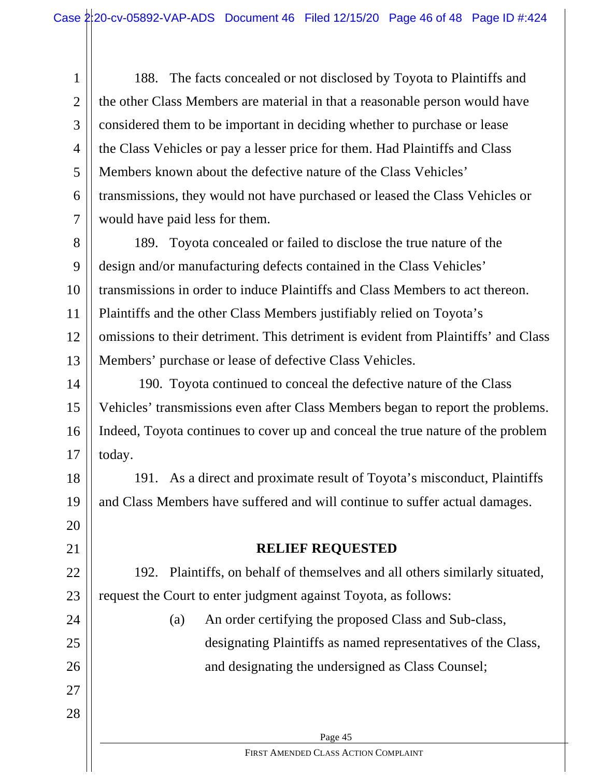1 2 3 4 5 6 7 188. The facts concealed or not disclosed by Toyota to Plaintiffs and the other Class Members are material in that a reasonable person would have considered them to be important in deciding whether to purchase or lease the Class Vehicles or pay a lesser price for them. Had Plaintiffs and Class Members known about the defective nature of the Class Vehicles' transmissions, they would not have purchased or leased the Class Vehicles or would have paid less for them.

8 9 10 11 12 13 189. Toyota concealed or failed to disclose the true nature of the design and/or manufacturing defects contained in the Class Vehicles' transmissions in order to induce Plaintiffs and Class Members to act thereon. Plaintiffs and the other Class Members justifiably relied on Toyota's omissions to their detriment. This detriment is evident from Plaintiffs' and Class Members' purchase or lease of defective Class Vehicles.

14 15 16 17 190. Toyota continued to conceal the defective nature of the Class Vehicles' transmissions even after Class Members began to report the problems. Indeed, Toyota continues to cover up and conceal the true nature of the problem today.

18 19 191. As a direct and proximate result of Toyota's misconduct, Plaintiffs and Class Members have suffered and will continue to suffer actual damages.

21

20

### **RELIEF REQUESTED**

22 23 192. Plaintiffs, on behalf of themselves and all others similarly situated, request the Court to enter judgment against Toyota, as follows:

(a) An order certifying the proposed Class and Sub-class, designating Plaintiffs as named representatives of the Class, and designating the undersigned as Class Counsel;

28

27

24

25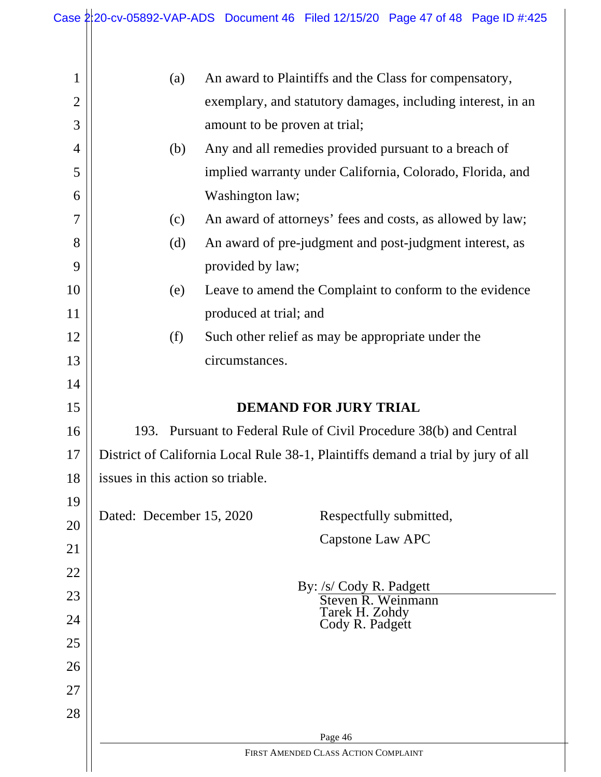|                | Case $2\frac{1}{20}$ -cv-05892-VAP-ADS Document 46 Filed 12/15/20 Page 47 of 48 Page ID #:425 |                                                               |                                      |                         |  |
|----------------|-----------------------------------------------------------------------------------------------|---------------------------------------------------------------|--------------------------------------|-------------------------|--|
|                |                                                                                               |                                                               |                                      |                         |  |
| $\mathbf 1$    | (a)                                                                                           | An award to Plaintiffs and the Class for compensatory,        |                                      |                         |  |
| $\overline{2}$ |                                                                                               | exemplary, and statutory damages, including interest, in an   |                                      |                         |  |
| 3              |                                                                                               | amount to be proven at trial;                                 |                                      |                         |  |
| 4              | (b)                                                                                           | Any and all remedies provided pursuant to a breach of         |                                      |                         |  |
| 5              |                                                                                               | implied warranty under California, Colorado, Florida, and     |                                      |                         |  |
| 6              |                                                                                               | Washington law;                                               |                                      |                         |  |
| 7              | (c)                                                                                           | An award of attorneys' fees and costs, as allowed by law;     |                                      |                         |  |
| 8              | (d)                                                                                           | An award of pre-judgment and post-judgment interest, as       |                                      |                         |  |
| 9              |                                                                                               | provided by law;                                              |                                      |                         |  |
| 10             | (e)                                                                                           | Leave to amend the Complaint to conform to the evidence       |                                      |                         |  |
| 11             |                                                                                               | produced at trial; and                                        |                                      |                         |  |
| 12             | (f)                                                                                           | Such other relief as may be appropriate under the             |                                      |                         |  |
| 13             |                                                                                               | circumstances.                                                |                                      |                         |  |
| 14             |                                                                                               |                                                               |                                      |                         |  |
| 15             |                                                                                               |                                                               | <b>DEMAND FOR JURY TRIAL</b>         |                         |  |
| 16             | 193.                                                                                          | Pursuant to Federal Rule of Civil Procedure 38(b) and Central |                                      |                         |  |
| 17             | District of California Local Rule 38-1, Plaintiffs demand a trial by jury of all              |                                                               |                                      |                         |  |
| 18             | issues in this action so triable.                                                             |                                                               |                                      |                         |  |
| 19             | Dated: December 15, 2020                                                                      |                                                               |                                      | Respectfully submitted, |  |
| 20             |                                                                                               |                                                               | <b>Capstone Law APC</b>              |                         |  |
| 21             |                                                                                               |                                                               |                                      |                         |  |
| 22             |                                                                                               |                                                               | By: /s/ Cody R. Padgett              |                         |  |
| 23<br>24       |                                                                                               |                                                               | Steven R. Weinmann<br>Tarek H. Zohdy |                         |  |
| 25             |                                                                                               |                                                               | Cody R. Padgett                      |                         |  |
| 26             |                                                                                               |                                                               |                                      |                         |  |
| 27             |                                                                                               |                                                               |                                      |                         |  |
| 28             |                                                                                               |                                                               |                                      |                         |  |
|                |                                                                                               |                                                               | Page 46                              |                         |  |
|                |                                                                                               |                                                               | FIRST AMENDED CLASS ACTION COMPLAINT |                         |  |
|                |                                                                                               |                                                               |                                      |                         |  |

 $\overline{a}$